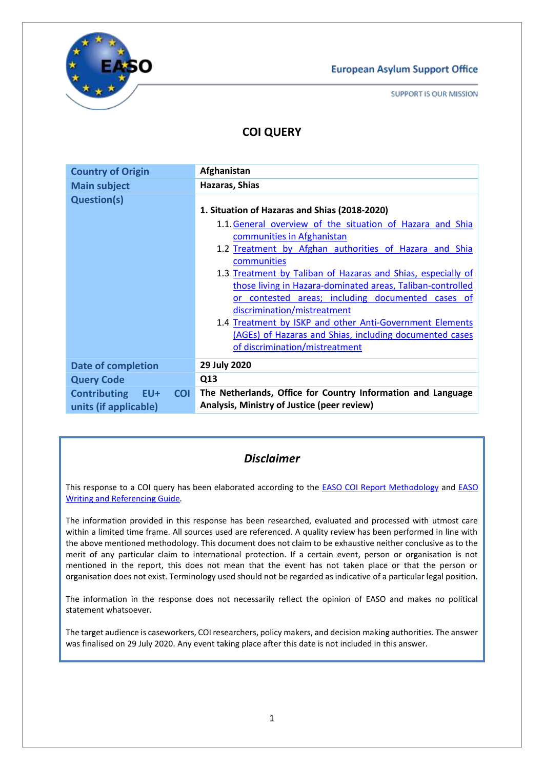

SUPPORT IS OUR MISSION

# **COI QUERY**

| <b>Country of Origin</b>                                       | Afghanistan                                                                                                                                                                                                                                                                                                                                                                                                                                                                                                                                                                                  |
|----------------------------------------------------------------|----------------------------------------------------------------------------------------------------------------------------------------------------------------------------------------------------------------------------------------------------------------------------------------------------------------------------------------------------------------------------------------------------------------------------------------------------------------------------------------------------------------------------------------------------------------------------------------------|
| <b>Main subject</b>                                            | Hazaras, Shias                                                                                                                                                                                                                                                                                                                                                                                                                                                                                                                                                                               |
| <b>Question(s)</b>                                             | 1. Situation of Hazaras and Shias (2018-2020)<br>1.1. General overview of the situation of Hazara and Shia<br>communities in Afghanistan<br>1.2 Treatment by Afghan authorities of Hazara and Shia<br>communities<br>1.3 Treatment by Taliban of Hazaras and Shias, especially of<br>those living in Hazara-dominated areas, Taliban-controlled<br>or contested areas; including documented cases of<br>discrimination/mistreatment<br>1.4 Treatment by ISKP and other Anti-Government Elements<br>(AGEs) of Hazaras and Shias, including documented cases<br>of discrimination/mistreatment |
| <b>Date of completion</b>                                      | 29 July 2020                                                                                                                                                                                                                                                                                                                                                                                                                                                                                                                                                                                 |
| <b>Query Code</b>                                              | Q13                                                                                                                                                                                                                                                                                                                                                                                                                                                                                                                                                                                          |
| <b>Contributing EU+</b><br><b>COI</b><br>units (if applicable) | The Netherlands, Office for Country Information and Language<br>Analysis, Ministry of Justice (peer review)                                                                                                                                                                                                                                                                                                                                                                                                                                                                                  |

# *Disclaimer*

This response to a COI query has been elaborated according to the [EASO COI Report Methodology](https://coi.easo.europa.eu/administration/easo/PLib/2019_EASO_COI_Report_Methodology.pdf) and [EASO](https://coi.easo.europa.eu/administration/easo/PLib/2019_EASO_COI_Writing_and_Referencing_Guide.pdf)  [Writing and Referencing Guide](https://coi.easo.europa.eu/administration/easo/PLib/2019_EASO_COI_Writing_and_Referencing_Guide.pdf)*.* 

The information provided in this response has been researched, evaluated and processed with utmost care within a limited time frame. All sources used are referenced. A quality review has been performed in line with the above mentioned methodology. This document does not claim to be exhaustive neither conclusive as to the merit of any particular claim to international protection. If a certain event, person or organisation is not mentioned in the report, this does not mean that the event has not taken place or that the person or organisation does not exist. Terminology used should not be regarded as indicative of a particular legal position.

The information in the response does not necessarily reflect the opinion of EASO and makes no political statement whatsoever.

The target audience is caseworkers, COI researchers, policy makers, and decision making authorities. The answer was finalised on 29 July 2020. Any event taking place after this date is not included in this answer.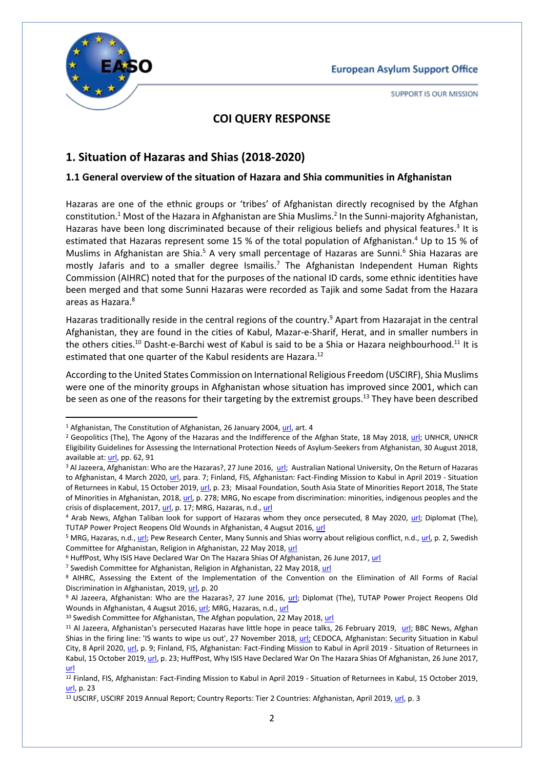

**.** 

**SUPPORT IS OUR MISSION** 

# **COI QUERY RESPONSE**

# **1. Situation of Hazaras and Shias (2018-2020)**

#### <span id="page-1-0"></span>**1.1 General overview of the situation of Hazara and Shia communities in Afghanistan**

Hazaras are one of the ethnic groups or 'tribes' of Afghanistan directly recognised by the Afghan constitution.<sup>1</sup> Most of the Hazara in Afghanistan are Shia Muslims.<sup>2</sup> In the Sunni-majority Afghanistan, Hazaras have been long discriminated because of their religious beliefs and physical features.<sup>3</sup> It is estimated that Hazaras represent some 15 % of the total population of Afghanistan.<sup>4</sup> Up to 15 % of Muslims in Afghanistan are Shia.<sup>5</sup> A very small percentage of Hazaras are Sunni.<sup>6</sup> Shia Hazaras are mostly Jafaris and to a smaller degree Ismailis.<sup>7</sup> The Afghanistan Independent Human Rights Commission (AIHRC) noted that for the purposes of the national ID cards, some ethnic identities have been merged and that some Sunni Hazaras were recorded as Tajik and some Sadat from the Hazara areas as Hazara.<sup>8</sup>

Hazaras traditionally reside in the central regions of the country.<sup>9</sup> Apart from Hazarajat in the central Afghanistan, they are found in the cities of Kabul, Mazar-e-Sharif, Herat, and in smaller numbers in the others cities.<sup>10</sup> Dasht-e-Barchi west of Kabul is said to be a Shia or Hazara neighbourhood.<sup>11</sup> It is estimated that one quarter of the Kabul residents are Hazara.<sup>12</sup>

According to the United States Commission on International Religious Freedom (USCIRF), Shia Muslims were one of the minority groups in Afghanistan whose situation has improved since 2001, which can be seen as one of the reasons for their targeting by the extremist groups.<sup>13</sup> They have been described

<sup>7</sup> Swedish Committee for Afghanistan, Religion in Afghanistan, 22 May 2018[, url](https://swedishcommittee.org/afghanistan/religion)

<sup>10</sup> Swedish Committee for Afghanistan, The Afghan population, 22 May 2018[, url](https://swedishcommittee.org/afghanistan/population)

<sup>1</sup> Afghanistan, The Constitution of Afghanistan, 26 January 2004, [url,](http://www.afghanembassy.com.pl/afg/images/pliki/TheConstitution.pdf) art. 4

<sup>&</sup>lt;sup>2</sup> Geopolitics (The), The Agony of the Hazaras and the Indifference of the Afghan State, 18 May 2018, [url;](https://thegeopolitics.com/the-agony-of-the-hazaras-and-the-indifference-of-the-afghan-state/) UNHCR, UNHCR Eligibility Guidelines for Assessing the International Protection Needs of Asylum-Seekers from Afghanistan, 30 August 2018, available at[: url,](https://www.refworld.org/docid/5b8900109.html) pp. 62, 91

<sup>&</sup>lt;sup>3</sup> Al Jazeera, Afghanistan: Who are the Hazaras?, 27 June 2016, [url;](https://www.aljazeera.com/indepth/features/2016/06/afghanistan-hazaras-160623093601127.html) Australian National University, On the Return of Hazaras to Afghanistan, 4 March 2020, [url,](https://www.refugeecouncil.org.au/wp-content/uploads/2020/04/Maley-Hazaras-4.3.20.pdf) para. 7; Finland, FIS, Afghanistan: Fact-Finding Mission to Kabul in April 2019 - Situation of Returnees in Kabul, 15 October 2019[, url,](https://migri.fi/documents/5202425/5914056/Afghanistan_FFM_Returnees_MIG-1914851.pdf/ebbe969e-aea8-768d-c10b-37fad4b2bbd2/Afghanistan_FFM_Returnees_MIG-1914851.pdf) p. 23; Misaal Foundation, South Asia State of Minorities Report 2018, The State of Minorities in Afghanistan, 2018[, url,](http://www.misaal.ngo/wp-content/uploads/2019/02/SASM-Full-Report-2018.pdf) p. 278; MRG, No escape from discrimination: minorities, indigenous peoples and the crisis of displacement, 2017[, url,](https://minorityrights.org/wp-content/uploads/2017/12/MRG_Displacement_Report_Dec17.pdf) p. 17; MRG, Hazaras, n.d.[, url](https://minorityrights.org/minorities/hazaras/)

<sup>4</sup> Arab News, Afghan Taliban look for support of Hazaras whom they once persecuted, 8 May 2020, [url;](https://www.arabnews.com/node/1671236/world) Diplomat (The), TUTAP Power Project Reopens Old Wounds in Afghanistan, 4 Augsut 2016, [url](https://thediplomat.com/2016/08/tutap-power-project-reopens-old-wounds-in-afghanistan/)

<sup>5</sup> MRG, Hazaras, n.d.[, url;](https://minorityrights.org/minorities/hazaras/) Pew Research Center, Many Sunnis and Shias worry about religious conflict, n.d.[, url,](https://www.pewresearch.org/wp-content/uploads/sites/7/2013/11/Shias-Sunnis-religious-conflict-full-report.pdf) p. 2, Swedish Committee for Afghanistan, Religion in Afghanistan, 22 May 2018[, url](https://swedishcommittee.org/afghanistan/religion)

<sup>&</sup>lt;sup>6</sup> HuffPost, Why ISIS Have Declared War On The Hazara Shias Of Afghanistan, 26 June 2017, [url](https://www.huffingtonpost.in/syed-zafar-mehdi/why-isis-have-declared-war-on-the-hazara-shias-of-afghanistan_a_22504421/?guccounter=1)

<sup>8</sup> AIHRC, Assessing the Extent of the Implementation of the Convention on the Elimination of All Forms of Racial Discrimination in Afghanistan, 2019[, url,](https://www.aihrc.org.af/media/files/ENGLISH%20HAMAL.pdf) p. 20

<sup>9</sup> Al Jazeera, Afghanistan: Who are the Hazaras?, 27 June 2016, [url;](https://www.aljazeera.com/indepth/features/2016/06/afghanistan-hazaras-160623093601127.html) Diplomat (The), TUTAP Power Project Reopens Old Wounds in Afghanistan, 4 Augsut 2016, [url;](https://thediplomat.com/2016/08/tutap-power-project-reopens-old-wounds-in-afghanistan/) MRG, Hazaras, n.d., [url](https://minorityrights.org/minorities/hazaras/)

<sup>&</sup>lt;sup>11</sup> Al Jazeera, Afghanistan's persecuted Hazaras have little hope in peace talks, 26 February 2019, [url;](https://www.aljazeera.com/indepth/features/afghanistan-persecuted-hazaras-hope-peace-talks-190225211534278.html) BBC News, Afghan Shias in the firing line: 'IS wants to wipe us out', 27 November 2018, [url;](https://www.bbc.com/news/world-asia-46262269) CEDOCA, Afghanistan: Security Situation in Kabul City, 8 April 2020[, url,](https://coi.easo.europa.eu/administration/belgium/PLib/coi_focus_afghanistan_security_situation_in_kabul_city_20200408.pdf) p. 9; Finland, FIS, Afghanistan: Fact-Finding Mission to Kabul in April 2019 - Situation of Returnees in Kabul, 15 October 2019[, url,](https://migri.fi/documents/5202425/5914056/Afghanistan_FFM_Returnees_MIG-1914851.pdf/ebbe969e-aea8-768d-c10b-37fad4b2bbd2/Afghanistan_FFM_Returnees_MIG-1914851.pdf) p. 23; HuffPost, Why ISIS Have Declared War On The Hazara Shias Of Afghanistan, 26 June 2017, [url](https://www.huffingtonpost.in/syed-zafar-mehdi/why-isis-have-declared-war-on-the-hazara-shias-of-afghanistan_a_22504421/?guccounter=1)

<sup>12</sup> Finland, FIS, Afghanistan: Fact-Finding Mission to Kabul in April 2019 - Situation of Returnees in Kabul, 15 October 2019, [url,](https://migri.fi/documents/5202425/5914056/Afghanistan_FFM_Returnees_MIG-1914851.pdf/ebbe969e-aea8-768d-c10b-37fad4b2bbd2/Afghanistan_FFM_Returnees_MIG-1914851.pdf) p. 23

<sup>&</sup>lt;sup>13</sup> USCIRF, USCIRF 2019 Annual Report; Country Reports: Tier 2 Countries: Afghanistan, April 2019, [url,](https://www.uscirf.gov/sites/default/files/Tier2_AFGHANISTAN_2019.pdf) p. 3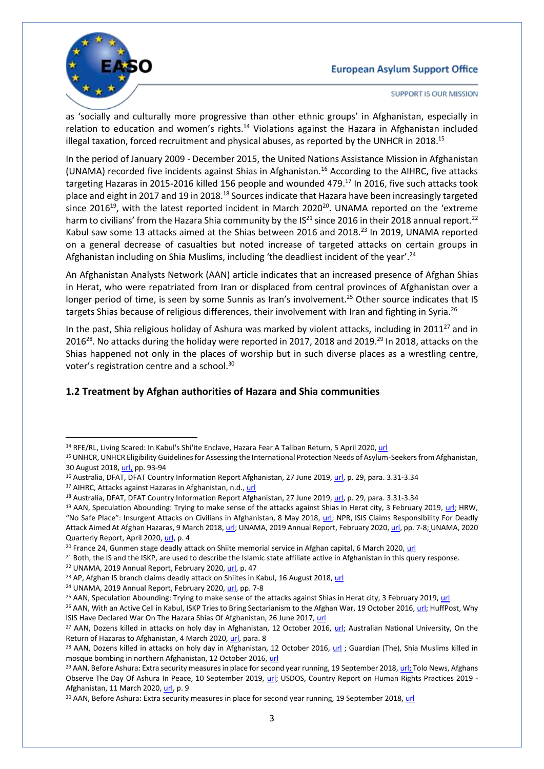

**SUPPORT IS OUR MISSION** 

as 'socially and culturally more progressive than other ethnic groups' in Afghanistan, especially in relation to education and women's rights.<sup>14</sup> Violations against the Hazara in Afghanistan included illegal taxation, forced recruitment and physical abuses, as reported by the UNHCR in 2018.<sup>15</sup>

In the period of January 2009 - December 2015, the United Nations Assistance Mission in Afghanistan (UNAMA) recorded five incidents against Shias in Afghanistan.<sup>16</sup> According to the AIHRC, five attacks targeting Hazaras in 2015-2016 killed 156 people and wounded 479.<sup>17</sup> In 2016, five such attacks took place and eight in 2017 and 19 in 2018.<sup>18</sup> Sources indicate that Hazara have been increasingly targeted since 2016<sup>19</sup>, with the latest reported incident in March 2020<sup>20</sup>. UNAMA reported on the 'extreme harm to civilians' from the Hazara Shia community by the IS<sup>21</sup> since 2016 in their 2018 annual report.<sup>22</sup> Kabul saw some 13 attacks aimed at the Shias between 2016 and 2018.<sup>23</sup> In 2019, UNAMA reported on a general decrease of casualties but noted increase of targeted attacks on certain groups in Afghanistan including on Shia Muslims, including 'the deadliest incident of the year'.<sup>24</sup>

An Afghanistan Analysts Network (AAN) article indicates that an increased presence of Afghan Shias in Herat, who were repatriated from Iran or displaced from central provinces of Afghanistan over a longer period of time, is seen by some Sunnis as Iran's involvement.<sup>25</sup> Other source indicates that IS targets Shias because of religious differences, their involvement with Iran and fighting in Syria.<sup>26</sup>

In the past, Shia religious holiday of Ashura was marked by violent attacks, including in 2011<sup>27</sup> and in 2016<sup>28</sup>. No attacks during the holiday were reported in 2017, 2018 and 2019.<sup>29</sup> In 2018, attacks on the Shias happened not only in the places of worship but in such diverse places as a wrestling centre, voter's registration centre and a school.<sup>30</sup>

## <span id="page-2-0"></span>**1.2 Treatment by Afghan authorities of Hazara and Shia communities**

<sup>1</sup> <sup>14</sup> RFE/RL, Living Scared: In Kabul's Shi'ite Enclave, Hazara Fear A Taliban Return, 5 April 2020[, url](https://www.rferl.org/a/living-scared-in-kabul-s-shi-ite-enclave-hazara-fear-a-taliban-return/30532478.html)

<sup>15</sup> UNHCR, UNHCR Eligibility Guidelines for Assessing the International Protection Needs of Asylum-Seekers from Afghanistan, 30 August 2018[, url,](https://www.refworld.org/docid/5b8900109.html) pp. 93-94

<sup>&</sup>lt;sup>16</sup> Australia, DFAT, DFAT Country Information Report Afghanistan, 27 June 2019, [url,](https://www.dfat.gov.au/sites/default/files/country-information-report-afghanistan.pdf) p. 29, para. 3.31-3.34

<sup>17</sup> AIHRC, Attacks against Hazaras in Afghanistan, n.d., [url](https://www.aihrc.org.af/media/files/A%20Short%20Report%20on%20Attack%20against%20Hazaras_English_Final.pdf)

<sup>18</sup> Australia, DFAT, DFAT Country Information Report Afghanistan, 27 June 2019, [url,](https://www.dfat.gov.au/sites/default/files/country-information-report-afghanistan.pdf) p. 29, para. 3.31-3.34

<sup>&</sup>lt;sup>19</sup> AAN, Speculation Abounding: Trying to make sense of the attacks against Shias in Herat city, 3 February 2019, [url;](https://www.afghanistan-analysts.org/en/reports/war-and-peace/speculation-abounding-trying-to-make-sense-of-the-attacks-against-shias-in-herat-city/) HRW, "No Safe Place": Insurgent Attacks on Civilians in Afghanistan, 8 May 2018, [url;](https://www.hrw.org/report/2018/05/08/no-safe-place/insurgent-attacks-civilians-afghanistan) NPR, ISIS Claims Responsibility For Deadly Attack Aimed At Afghan Hazaras, 9 March 2018[, url;](https://www.npr.org/sections/thetwo-way/2018/03/09/592210383/isis-claims-responsibility-for-deadly-attack-aimed-at-afghan-hazaras?t=1593612452530) UNAMA, 2019 Annual Report, February 2020[, url,](https://unama.unmissions.org/sites/default/files/afghanistan_protection_of_civilians_annual_report_2019_-_22_february.pdf) pp. 7-8; UNAMA, 2020 Quarterly Report, April 2020, [url,](https://unama.unmissions.org/sites/default/files/unama_protection_of_civilians_in_armed_conflict_-_2020_first_quarter_report_english_0.pdf) p. 4

<sup>&</sup>lt;sup>20</sup> France 24, Gunmen stage deadly attack on Shiite memorial service in Afghan capital, 6 March 2020[, url](https://www.france24.com/en/20200306-gunmen-stage-deadly-attack-on-shiite-memorial-service-in-afghan-capital)

<sup>&</sup>lt;sup>21</sup> Both, the IS and the ISKP, are used to describe the Islamic state affiliate active in Afghanistan in this query response.

<sup>&</sup>lt;sup>22</sup> UNAMA, 2019 Annual Report, February 2020[, url,](https://unama.unmissions.org/sites/default/files/afghanistan_protection_of_civilians_annual_report_2019_-_22_february.pdf) p. 47

<sup>&</sup>lt;sup>23</sup> AP, Afghan IS branch claims deadly attack on Shiites in Kabul, 16 August 2018[, url](https://apnews.com/11431e698aa5451eb0b88ea41e4e8496)

<sup>&</sup>lt;sup>24</sup> UNAMA, 2019 Annual Report, February 2020[, url,](https://unama.unmissions.org/sites/default/files/afghanistan_protection_of_civilians_annual_report_2019_-_22_february.pdf) pp. 7-8

<sup>&</sup>lt;sup>25</sup> AAN, Speculation Abounding: Trying to make sense of the attacks against Shias in Herat city, 3 February 2019[, url](https://www.afghanistan-analysts.org/en/reports/war-and-peace/speculation-abounding-trying-to-make-sense-of-the-attacks-against-shias-in-herat-city/)

<sup>&</sup>lt;sup>26</sup> AAN, With an Active Cell in Kabul, ISKP Tries to Bring Sectarianism to the Afghan War, 19 October 2016[, url;](https://www.afghanistan-analysts.org/en/reports/war-and-peace/with-an-active-cell-in-kabul-iskp-tries-to-bring-sectarianism-to-the-afghan-war/) HuffPost, Why ISIS Have Declared War On The Hazara Shias Of Afghanistan, 26 June 2017, [url](https://www.huffingtonpost.in/syed-zafar-mehdi/why-isis-have-declared-war-on-the-hazara-shias-of-afghanistan_a_22504421/?guccounter=1)

<sup>&</sup>lt;sup>27</sup> AAN, Dozens killed in attacks on holy day in Afghanistan, 12 October 2016, [url;](https://www.trtworld.com/asia/dozens-killed-in-attacks-targeting-holy-day-in-afghanistan-205282) Australian National University, On the Return of Hazaras to Afghanistan, 4 March 2020, [url,](https://www.refugeecouncil.org.au/wp-content/uploads/2020/04/Maley-Hazaras-4.3.20.pdf) para. 8

<sup>&</sup>lt;sup>28</sup> AAN, Dozens killed in attacks on holy day in Afghanistan, 12 October 2016, [url](https://www.trtworld.com/asia/dozens-killed-in-attacks-targeting-holy-day-in-afghanistan-205282); Guardian (The), Shia Muslims killed in mosque bombing in northern Afghanistan, 12 October 2016, [url](https://www.theguardian.com/world/2016/oct/12/shia-muslims-killed-mosque-bombing-northern-afghanistan-ashura-festival) 

<sup>&</sup>lt;sup>29</sup> AAN, Before Ashura: Extra security measures in place for second year running, 19 September 2018[, url;](https://www.afghanistan-analysts.org/en/reports/war-and-peace/before-ashura-extra-security-measures-in-place-for-second-year-running/) Tolo News, Afghans Observe The Day Of Ashura In Peace, 10 September 2019, [url;](https://tolonews.com/afghanistan/afghans-observe-ashura-peace) USDOS, Country Report on Human Rights Practices 2019 -Afghanistan, 11 March 2020[, url,](https://www.state.gov/wp-content/uploads/2020/03/AFGHANISTAN-2019-HUMAN-RIGHTS-REPORT.pdf) p. 9

<sup>&</sup>lt;sup>30</sup> AAN, Before Ashura: Extra security measures in place for second year running, 19 September 2018, [url](https://www.afghanistan-analysts.org/en/reports/war-and-peace/before-ashura-extra-security-measures-in-place-for-second-year-running/)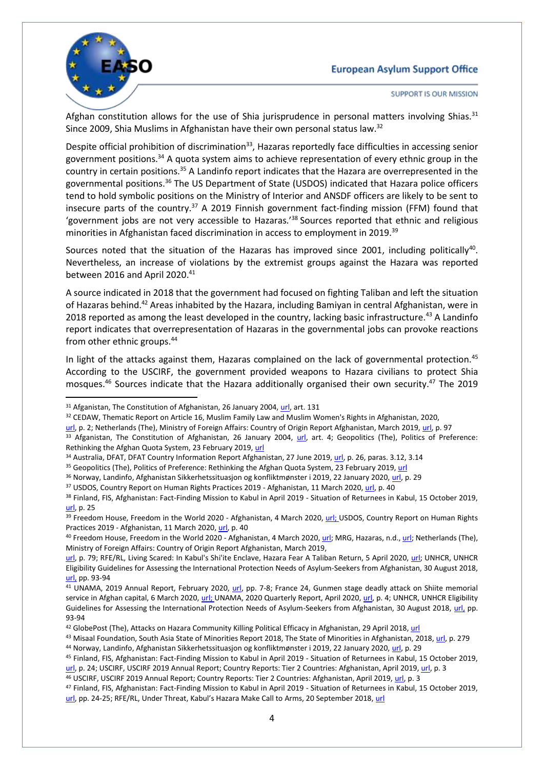

1

**SUPPORT IS OUR MISSION** 

Afghan constitution allows for the use of Shia jurisprudence in personal matters involving Shias. $31$ Since 2009, Shia Muslims in Afghanistan have their own personal status law.<sup>32</sup>

Despite official prohibition of discrimination<sup>33</sup>, Hazaras reportedly face difficulties in accessing senior government positions.<sup>34</sup> A quota system aims to achieve representation of every ethnic group in the country in certain positions.<sup>35</sup> A Landinfo report indicates that the Hazara are overrepresented in the governmental positions.<sup>36</sup> The US Department of State (USDOS) indicated that Hazara police officers tend to hold symbolic positions on the Ministry of Interior and ANSDF officers are likely to be sent to insecure parts of the country.<sup>37</sup> A 2019 Finnish government fact-finding mission (FFM) found that 'government jobs are not very accessible to Hazaras.' <sup>38</sup> Sources reported that ethnic and religious minorities in Afghanistan faced discrimination in access to employment in 2019.<sup>39</sup>

Sources noted that the situation of the Hazaras has improved since 2001, including politically<sup>40</sup>. Nevertheless, an increase of violations by the extremist groups against the Hazara was reported between 2016 and April 2020.<sup>41</sup>

A source indicated in 2018 that the government had focused on fighting Taliban and left the situation of Hazaras behind.<sup>42</sup> Areas inhabited by the Hazara, including Bamiyan in central Afghanistan, were in 2018 reported as among the least developed in the country, lacking basic infrastructure.<sup>43</sup> A Landinfo report indicates that overrepresentation of Hazaras in the governmental jobs can provoke reactions from other ethnic groups.<sup>44</sup>

In light of the attacks against them, Hazaras complained on the lack of governmental protection.<sup>45</sup> According to the USCIRF, the government provided weapons to Hazara civilians to protect Shia mosques.<sup>46</sup> Sources indicate that the Hazara additionally organised their own security.<sup>47</sup> The 2019

<sup>35</sup> Geopolitics (The), Politics of Preference: Rethinking the Afghan Quota System, 23 February 2019, [url](https://thegeopolitics.com/politics-of-preference-rethinking-the-afghan-quota-system/)

<sup>37</sup> USDOS, Country Report on Human Rights Practices 2019 - Afghanistan, 11 March 2020, [url,](https://www.state.gov/wp-content/uploads/2020/03/AFGHANISTAN-2019-HUMAN-RIGHTS-REPORT.pdf) p. 40

43 Misaal Foundation, South Asia State of Minorities Report 2018, The State of Minorities in Afghanistan, 2018[, url,](http://www.misaal.ngo/wp-content/uploads/2019/02/SASM-Full-Report-2018.pdf) p. 279 <sup>44</sup> Norway, Landinfo, Afghanistan Sikkerhetssituasjon og konfliktmønster i 2019, 22 January 2020, [url,](https://www.ecoi.net/en/file/local/2023183/Temanotat-Afghanistan-Sikkerhetssituasjonen-og-konfliktm%C3%B8nster-i-2019-22012020.pdf) p. 29

<sup>&</sup>lt;sup>31</sup> Afganistan, The Constitution of Afghanistan, 26 January 2004[, url,](http://www.afghanembassy.com.pl/afg/images/pliki/TheConstitution.pdf) art. 131

<sup>&</sup>lt;sup>32</sup> CEDAW, Thematic Report on Article 16, Muslim Family Law and Muslim Women's Rights in Afghanistan, 2020,

[url,](https://tbinternet.ohchr.org/Treaties/CEDAW/Shared%20Documents/AFG/INT_CEDAW_CSS_AFG_41112_E.docx) p. 2; Netherlands (The), Ministry of Foreign Affairs: Country of Origin Report Afghanistan, March 2019[, url,](https://www.ecoi.net/en/file/local/2010321/COIAfghanistanMarch2019.pdf) p. 97

<sup>33</sup> Afganistan, The Constitution of Afghanistan, 26 January 2004, [url,](http://www.afghanembassy.com.pl/afg/images/pliki/TheConstitution.pdf) art. 4; Geopolitics (The), Politics of Preference: Rethinking the Afghan Quota System, 23 February 2019[, url](https://thegeopolitics.com/politics-of-preference-rethinking-the-afghan-quota-system/)

<sup>34</sup> Australia, DFAT, DFAT Country Information Report Afghanistan, 27 June 2019, [url,](https://www.dfat.gov.au/sites/default/files/country-information-report-afghanistan.pdf) p. 26, paras. 3.12, 3.14

<sup>36</sup> Norway, Landinfo, Afghanistan Sikkerhetssituasjon og konfliktmønster i 2019, 22 January 2020, [url,](https://www.ecoi.net/en/file/local/2023183/Temanotat-Afghanistan-Sikkerhetssituasjonen-og-konfliktm%C3%B8nster-i-2019-22012020.pdf) p. 29

<sup>&</sup>lt;sup>38</sup> Finland, FIS, Afghanistan: Fact-Finding Mission to Kabul in April 2019 - Situation of Returnees in Kabul, 15 October 2019, [url,](https://migri.fi/documents/5202425/5914056/Afghanistan_FFM_Returnees_MIG-1914851.pdf/ebbe969e-aea8-768d-c10b-37fad4b2bbd2/Afghanistan_FFM_Returnees_MIG-1914851.pdf) p. 25

<sup>&</sup>lt;sup>39</sup> Freedom House, Freedom in the World 2020 - Afghanistan, 4 March 2020[, url;](https://freedomhouse.org/country/afghanistan/freedom-world/2020) USDOS, Country Report on Human Rights Practices 2019 - Afghanistan, 11 March 2020[, url,](https://www.state.gov/wp-content/uploads/2020/03/AFGHANISTAN-2019-HUMAN-RIGHTS-REPORT.pdf) p. 40

<sup>&</sup>lt;sup>40</sup> Freedom House, Freedom in the World 2020 - Afghanistan, 4 March 2020[, url;](https://minorityrights.org/minorities/hazaras/) MRG, Hazaras, n.d., url; Netherlands (The), Ministry of Foreign Affairs: Country of Origin Report Afghanistan, March 2019,

[url,](https://www.ecoi.net/en/file/local/2010321/COIAfghanistanMarch2019.pdf) p. 79; RFE/RL, Living Scared: In Kabul's Shi'ite Enclave, Hazara Fear A Taliban Return, 5 April 2020, [url;](https://www.rferl.org/a/living-scared-in-kabul-s-shi-ite-enclave-hazara-fear-a-taliban-return/30532478.html) UNHCR, UNHCR Eligibility Guidelines for Assessing the International Protection Needs of Asylum-Seekers from Afghanistan, 30 August 2018, [url,](https://www.refworld.org/docid/5b8900109.html) pp. 93-94

<sup>&</sup>lt;sup>41</sup> UNAMA, 2019 Annual Report, February 2020, [url,](https://unama.unmissions.org/sites/default/files/afghanistan_protection_of_civilians_annual_report_2019_-_22_february.pdf) pp. 7-8; France 24, Gunmen stage deadly attack on Shiite memorial service in Afghan capital, 6 March 2020[, url;](https://www.france24.com/en/20200306-gunmen-stage-deadly-attack-on-shiite-memorial-service-in-afghan-capital) UNAMA, 2020 Quarterly Report, April 2020[, url,](https://unama.unmissions.org/sites/default/files/unama_protection_of_civilians_in_armed_conflict_-_2020_first_quarter_report_english_0.pdf) p. 4; UNHCR, UNHCR Eligibility Guidelines for Assessing the International Protection Needs of Asylum-Seekers from Afghanistan, 30 August 2018, [url,](https://www.refworld.org/docid/5b8900109.html) pp. 93-94

<sup>42</sup> GlobePost (The), Attacks on Hazara Community Killing Political Efficacy in Afghanistan, 29 April 2018, [url](https://theglobepost.com/2018/04/29/afghanistan-hazara-community/)

<sup>45</sup> Finland, FIS, Afghanistan: Fact-Finding Mission to Kabul in April 2019 - Situation of Returnees in Kabul, 15 October 2019, [url,](https://migri.fi/documents/5202425/5914056/Afghanistan_FFM_Returnees_MIG-1914851.pdf/ebbe969e-aea8-768d-c10b-37fad4b2bbd2/Afghanistan_FFM_Returnees_MIG-1914851.pdf) p. 24; USCIRF, USCIRF 2019 Annual Report; Country Reports: Tier 2 Countries: Afghanistan, April 2019, [url,](https://www.uscirf.gov/sites/default/files/Tier2_AFGHANISTAN_2019.pdf) p. 3

<sup>46</sup> USCIRF, USCIRF 2019 Annual Report; Country Reports: Tier 2 Countries: Afghanistan, April 2019, [url,](https://www.uscirf.gov/sites/default/files/Tier2_AFGHANISTAN_2019.pdf) p. 3

<sup>47</sup> Finland, FIS, Afghanistan: Fact-Finding Mission to Kabul in April 2019 - Situation of Returnees in Kabul, 15 October 2019, [url,](https://migri.fi/documents/5202425/5914056/Afghanistan_FFM_Returnees_MIG-1914851.pdf/ebbe969e-aea8-768d-c10b-37fad4b2bbd2/Afghanistan_FFM_Returnees_MIG-1914851.pdf) pp. 24-25; RFE/RL, Under Threat, Kabul's Hazara Make Call to Arms, 20 September 2018, [url](https://www.rferl.org/a/under-threat-kabul-s-hazara-make-call-for-arms/29500669.html)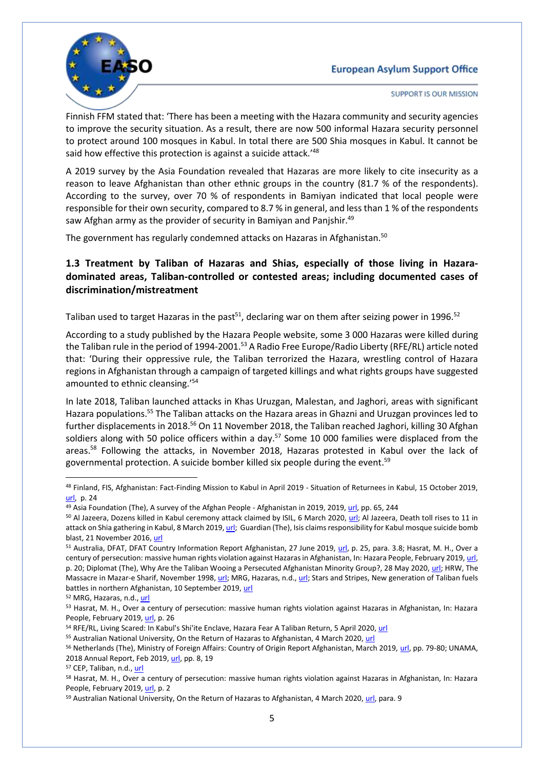

**SUPPORT IS OUR MISSION** 

Finnish FFM stated that: 'There has been a meeting with the Hazara community and security agencies to improve the security situation. As a result, there are now 500 informal Hazara security personnel to protect around 100 mosques in Kabul. In total there are 500 Shia mosques in Kabul. It cannot be said how effective this protection is against a suicide attack.'<sup>48</sup>

A 2019 survey by the Asia Foundation revealed that Hazaras are more likely to cite insecurity as a reason to leave Afghanistan than other ethnic groups in the country (81.7 % of the respondents). According to the survey, over 70 % of respondents in Bamiyan indicated that local people were responsible for their own security, compared to 8.7 % in general, and less than 1 % of the respondents saw Afghan army as the provider of security in Bamiyan and Panjshir.<sup>49</sup>

The government has regularly condemned attacks on Hazaras in Afghanistan.<sup>50</sup>

### <span id="page-4-0"></span>**1.3 Treatment by Taliban of Hazaras and Shias, especially of those living in Hazaradominated areas, Taliban-controlled or contested areas; including documented cases of discrimination/mistreatment**

Taliban used to target Hazaras in the past<sup>51</sup>, declaring war on them after seizing power in 1996.<sup>52</sup>

According to a study published by the Hazara People website, some 3 000 Hazaras were killed during the Taliban rule in the period of 1994-2001.<sup>53</sup> A Radio Free Europe/Radio Liberty (RFE/RL) article noted that: 'During their oppressive rule, the Taliban terrorized the Hazara, wrestling control of Hazara regions in Afghanistan through a campaign of targeted killings and what rights groups have suggested amounted to ethnic cleansing.' 54

In late 2018, Taliban launched attacks in Khas Uruzgan, Malestan, and Jaghori, areas with significant Hazara populations.<sup>55</sup> The Taliban attacks on the Hazara areas in Ghazni and Uruzgan provinces led to further displacements in 2018.<sup>56</sup> On 11 November 2018, the Taliban reached Jaghori, killing 30 Afghan soldiers along with 50 police officers within a day.<sup>57</sup> Some 10 000 families were displaced from the areas. <sup>58</sup> Following the attacks, in November 2018, Hazaras protested in Kabul over the lack of governmental protection. A suicide bomber killed six people during the event.<sup>59</sup>

**.** 

<sup>48</sup> Finland, FIS, Afghanistan: Fact-Finding Mission to Kabul in April 2019 - Situation of Returnees in Kabul, 15 October 2019, [url,](https://migri.fi/documents/5202425/5914056/Afghanistan_FFM_Returnees_MIG-1914851.pdf/ebbe969e-aea8-768d-c10b-37fad4b2bbd2/Afghanistan_FFM_Returnees_MIG-1914851.pdf) p. 24

<sup>49</sup> Asia Foundation (The), A survey of the Afghan People - Afghanistan in 2019, 2019, [url,](https://reliefweb.int/sites/reliefweb.int/files/resources/2019_Afghan_Survey_Full-Report.pdf) pp. 65, 244

<sup>&</sup>lt;sup>50</sup> Al Jazeera, Dozens killed in Kabul ceremony attack claimed by ISIL, 6 March 2020, [url;](https://www.aljazeera.com/news/2020/03/kabul-gathering-attended-abdullah-hit-rocket-attack-report-200306074951081.html) Al Jazeera, Death toll rises to 11 in attack on Shia gathering in Kabul, 8 March 2019[, url;](https://www.aljazeera.com/news/2019/03/death-toll-rises-11-afghan-capital-attack-shia-gathering-190308102222870.html) Guardian (The), Isis claims responsibility for Kabul mosque suicide bomb blast, 21 November 2016[, url](https://www.theguardian.com/world/2016/nov/21/kabul-mosque-hit-by-deadly-suicide-bomb-attack)

<sup>51</sup> Australia, DFAT, DFAT Country Information Report Afghanistan, 27 June 2019, [url,](https://www.dfat.gov.au/sites/default/files/country-information-report-afghanistan.pdf) p. 25, para. 3.8; Hasrat, M. H., Over a century of persecution: massive human rights violation against Hazaras in Afghanistan, In: Hazara People, February 2019[, url,](http://www.hazarapeople.com/wp-content/uploads/2019/05/HUMAN-RIGHTS-SITUATION-OF-THE-HAZARAS-IN-AFGHANISTAN-.pdf) p. 20; Diplomat (The), Why Are the Taliban Wooing a Persecuted Afghanistan Minority Group?, 28 May 2020[, url;](https://thediplomat.com/2020/05/why-are-the-taliban-wooing-a-persecuted-afghanistan-minority-group/) HRW, The Massacre in Mazar-e Sharif, November 1998[, url;](http://www.hrw.org/legacy/reports98/afghan/Afrepor0.htm) MRG, Hazaras, n.d., [url;](https://minorityrights.org/minorities/hazaras/) Stars and Stripes, New generation of Taliban fuels battles in northern Afghanistan, 10 September 2019[, url](https://www.stripes.com/news/middle-east/new-generation-of-taliban-fuels-battles-in-northern-afghanistan-1.598168)

<sup>52</sup> MRG, Hazaras, n.d., [url](https://minorityrights.org/minorities/hazaras/)

<sup>53</sup> Hasrat, M. H., Over a century of persecution: massive human rights violation against Hazaras in Afghanistan, In: Hazara People, February 2019[, url,](http://www.hazarapeople.com/wp-content/uploads/2019/05/HUMAN-RIGHTS-SITUATION-OF-THE-HAZARAS-IN-AFGHANISTAN-.pdf) p. 26

<sup>54</sup> RFE/RL, Living Scared: In Kabul's Shi'ite Enclave, Hazara Fear A Taliban Return, 5 April 2020[, url](https://www.rferl.org/a/living-scared-in-kabul-s-shi-ite-enclave-hazara-fear-a-taliban-return/30532478.html)

<sup>55</sup> Australian National University, On the Return of Hazaras to Afghanistan, 4 March 2020[, url](https://www.refugeecouncil.org.au/wp-content/uploads/2020/04/Maley-Hazaras-4.3.20.pdf)

<sup>56</sup> Netherlands (The), Ministry of Foreign Affairs: Country of Origin Report Afghanistan, March 2019, [url,](https://www.ecoi.net/en/file/local/2010321/COIAfghanistanMarch2019.pdf) pp. 79-80; UNAMA, 2018 Annual Report, Feb 2019[, url,](https://unama.unmissions.org/sites/default/files/unama_annual_protection_of_civilians_report_2018_-_23_feb_2019_-_english.pdf) pp. 8, 19

<sup>57</sup> CEP, Taliban, n.d.[, url](https://www.counterextremism.com/sites/default/files/threat_pdf/Taliban-06232020.pdf)

<sup>58</sup> Hasrat, M. H., Over a century of persecution: massive human rights violation against Hazaras in Afghanistan, In: Hazara People, February 2019[, url,](http://www.hazarapeople.com/wp-content/uploads/2019/05/HUMAN-RIGHTS-SITUATION-OF-THE-HAZARAS-IN-AFGHANISTAN-.pdf) p. 2

<sup>59</sup> Australian National University, On the Return of Hazaras to Afghanistan, 4 March 2020[, url,](https://www.refugeecouncil.org.au/wp-content/uploads/2020/04/Maley-Hazaras-4.3.20.pdf) para. 9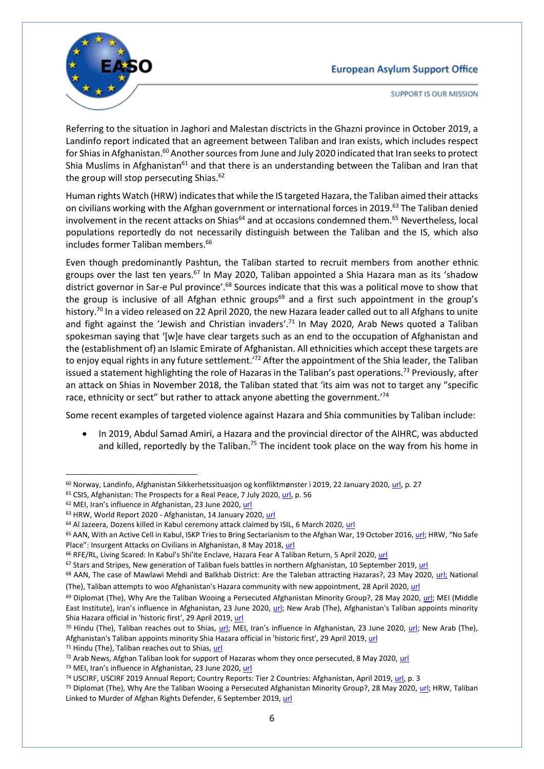

**SUPPORT IS OUR MISSION** 

Referring to the situation in Jaghori and Malestan disctricts in the Ghazni province in October 2019, a Landinfo report indicated that an agreement between Taliban and Iran exists, which includes respect for Shias in Afghanistan.<sup>60</sup> Another sources from June and July 2020 indicated that Iran seeks to protect Shia Muslims in Afghanistan<sup>61</sup> and that there is an understanding between the Taliban and Iran that the group will stop persecuting Shias.<sup>62</sup>

Human rights Watch (HRW) indicates that while the IS targeted Hazara, the Taliban aimed their attacks on civilians working with the Afghan government or international forces in 2019.<sup>63</sup> The Taliban denied involvement in the recent attacks on Shias<sup>64</sup> and at occasions condemned them.<sup>65</sup> Nevertheless, local populations reportedly do not necessarily distinguish between the Taliban and the IS, which also includes former Taliban members. 66

Even though predominantly Pashtun, the Taliban started to recruit members from another ethnic groups over the last ten years.<sup>67</sup> In May 2020, Taliban appointed a Shia Hazara man as its 'shadow district governor in Sar-e Pul province'.<sup>68</sup> Sources indicate that this was a political move to show that the group is inclusive of all Afghan ethnic groups<sup>69</sup> and a first such appointment in the group's history.<sup>70</sup> In a video released on 22 April 2020, the new Hazara leader called out to all Afghans to unite and fight against the 'Jewish and Christian invaders'.<sup>71</sup> In May 2020, Arab News quoted a Taliban spokesman saying that '[w]e have clear targets such as an end to the occupation of Afghanistan and the (establishment of) an Islamic Emirate of Afghanistan. All ethnicities which accept these targets are to enjoy equal rights in any future settlement.<sup>'72</sup> After the appointment of the Shia leader, the Taliban issued a statement highlighting the role of Hazaras in the Taliban's past operations.<sup>73</sup> Previously, after an attack on Shias in November 2018, the Taliban stated that 'its aim was not to target any "specific race, ethnicity or sect" but rather to attack anyone abetting the government.'<sup>74</sup>

Some recent examples of targeted violence against Hazara and Shia communities by Taliban include:

 In 2019, Abdul Samad Amiri, a Hazara and the provincial director of the AIHRC, was abducted and killed, reportedly by the Taliban.<sup>75</sup> The incident took place on the way from his home in

**.** 

<sup>60</sup> Norway, Landinfo, Afghanistan Sikkerhetssituasjon og konfliktmønster i 2019, 22 January 2020, [url,](https://www.ecoi.net/en/file/local/2023183/Temanotat-Afghanistan-Sikkerhetssituasjonen-og-konfliktm%C3%B8nster-i-2019-22012020.pdf) p. 27

<sup>&</sup>lt;sup>61</sup> CSIS, Afghanistan: The Prospects for a Real Peace, 7 July 2020[, url,](https://csis-website-prod.s3.amazonaws.com/s3fs-public/publication/200708_Afghan_Peace_GH3.pdf) p. 56

<sup>&</sup>lt;sup>62</sup> MEI, Iran's influence in Afghanistan, 23 June 2020, [url](https://www.mei.edu/publications/irans-influence-afghanistan)

<sup>63</sup> HRW, World Report 2020 - Afghanistan, 14 January 2020[, url](https://www.hrw.org/world-report/2020/country-chapters/afghanistan)

<sup>&</sup>lt;sup>64</sup> Al Jazeera, Dozens killed in Kabul ceremony attack claimed by ISIL, 6 March 2020[, url](https://www.aljazeera.com/news/2020/03/kabul-gathering-attended-abdullah-hit-rocket-attack-report-200306074951081.html)

<sup>&</sup>lt;sup>65</sup> AAN, With an Active Cell in Kabul, ISKP Tries to Bring Sectarianism to the Afghan War, 19 October 2016, [url](https://www.afghanistan-analysts.org/en/reports/war-and-peace/with-an-active-cell-in-kabul-iskp-tries-to-bring-sectarianism-to-the-afghan-war/); HRW, "No Safe Place": Insurgent Attacks on Civilians in Afghanistan, 8 May 2018, [url](https://www.hrw.org/report/2018/05/08/no-safe-place/insurgent-attacks-civilians-afghanistan)

<sup>66</sup> RFE/RL, Living Scared: In Kabul's Shi'ite Enclave, Hazara Fear A Taliban Return, 5 April 2020[, url](https://www.rferl.org/a/living-scared-in-kabul-s-shi-ite-enclave-hazara-fear-a-taliban-return/30532478.html)

<sup>&</sup>lt;sup>67</sup> Stars and Stripes, New generation of Taliban fuels battles in northern Afghanistan, 10 September 2019[, url](https://www.stripes.com/news/middle-east/new-generation-of-taliban-fuels-battles-in-northern-afghanistan-1.598168)

<sup>&</sup>lt;sup>68</sup> AAN, The case of Mawlawi Mehdi and Balkhab District: Are the Taleban attracting Hazaras?, 23 May 2020, [url;](https://www.afghanistan-analysts.org/en/reports/war-and-peace/the-case-of-mawlawi-mehdi-and-balkhab-district-are-the-taleban-attracting-hazaras/) National

<sup>(</sup>The), Taliban attempts to woo Afghanistan's Hazara community with new appointment, 28 April 2020, [url](https://www.thenational.ae/world/asia/taliban-attempts-to-woo-afghanistan-s-hazara-community-with-new-appointment-1.1011775)

 $69$  Diplomat (The), Why Are the Taliban Wooing a Persecuted Afghanistan Minority Group?, 28 May 2020, [url;](https://thediplomat.com/2020/05/why-are-the-taliban-wooing-a-persecuted-afghanistan-minority-group/) MEI (Middle East Institute), Iran's influence in Afghanistan, 23 June 2020, [url;](https://www.mei.edu/publications/irans-influence-afghanistan) New Arab (The), Afghanistan's Taliban appoints minority Shia Hazara official in 'historic first', 29 April 2019[, url](https://english.alaraby.co.uk/english/news/2020/4/29/afghanistans-taliban-appoints-shia-hazara-official-in-historic-first)

<sup>&</sup>lt;sup>70</sup> Hindu (The), Taliban reaches out to Shias, [url](https://www.thehindu.com/news/international/taliban-reaches-out-to-shias/article31545562.ece); MEI, Iran's influence in Afghanistan, 23 June 2020, [url;](https://www.mei.edu/publications/irans-influence-afghanistan) New Arab (The), Afghanistan's Taliban appoints minority Shia Hazara official in 'historic first', 29 April 2019[, url](https://english.alaraby.co.uk/english/news/2020/4/29/afghanistans-taliban-appoints-shia-hazara-official-in-historic-first)

<sup>&</sup>lt;sup>71</sup> Hindu (The), Taliban reaches out to Shias, [url](https://www.thehindu.com/news/international/taliban-reaches-out-to-shias/article31545562.ece)

<sup>72</sup> Arab News, Afghan Taliban look for support of Hazaras whom they once persecuted, 8 May 2020, [url](https://www.arabnews.com/node/1671236/world)

<sup>&</sup>lt;sup>73</sup> MEI, Iran's influence in Afghanistan, 23 June 2020, [url](https://www.mei.edu/publications/irans-influence-afghanistan)

<sup>74</sup> USCIRF, USCIRF 2019 Annual Report; Country Reports: Tier 2 Countries: Afghanistan, April 2019, [url,](https://www.uscirf.gov/sites/default/files/Tier2_AFGHANISTAN_2019.pdf) p. 3

<sup>75</sup> Diplomat (The), Why Are the Taliban Wooing a Persecuted Afghanistan Minority Group?, 28 May 2020, [url;](https://thediplomat.com/2020/05/why-are-the-taliban-wooing-a-persecuted-afghanistan-minority-group/) HRW, Taliban Linked to Murder of Afghan Rights Defender, 6 September 2019, [url](https://www.hrw.org/news/2019/09/06/taliban-linked-murder-afghan-rights-defender)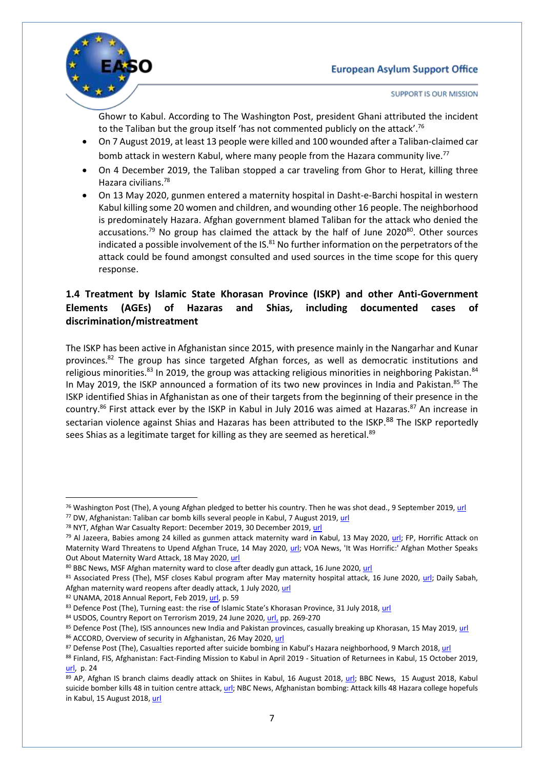

**SUPPORT IS OUR MISSION** 

Ghowr to Kabul. According to The Washington Post, president Ghani attributed the incident to the Taliban but the group itself 'has not commented publicly on the attack'.<sup>76</sup>

- On 7 August 2019, at least 13 people were killed and 100 wounded after a Taliban-claimed car bomb attack in western Kabul, where many people from the Hazara community live.<sup>77</sup>
- On 4 December 2019, the Taliban stopped a car traveling from Ghor to Herat, killing three Hazara civilians. 78
- On 13 May 2020, gunmen entered a maternity hospital in Dasht-e-Barchi hospital in western Kabul killing some 20 women and children, and wounding other 16 people. The neighborhood is predominately Hazara. Afghan government blamed Taliban for the attack who denied the accusations.<sup>79</sup> No group has claimed the attack by the half of June 2020<sup>80</sup>. Other sources indicated a possible involvement of the IS.<sup>81</sup> No further information on the perpetrators of the attack could be found amongst consulted and used sources in the time scope for this query response.

### <span id="page-6-0"></span>**1.4 Treatment by Islamic State Khorasan Province (ISKP) and other Anti-Government Elements (AGEs) of Hazaras and Shias, including documented cases of discrimination/mistreatment**

The ISKP has been active in Afghanistan since 2015, with presence mainly in the Nangarhar and Kunar provinces.<sup>82</sup> The group has since targeted Afghan forces, as well as democratic institutions and religious minorities.<sup>83</sup> In 2019, the group was attacking religious minorities in neighboring Pakistan.<sup>84</sup> In May 2019, the ISKP announced a formation of its two new provinces in India and Pakistan.<sup>85</sup> The ISKP identified Shias in Afghanistan as one of their targets from the beginning of their presence in the country.<sup>86</sup> First attack ever by the ISKP in Kabul in July 2016 was aimed at Hazaras.<sup>87</sup> An increase in sectarian violence against Shias and Hazaras has been attributed to the ISKP.<sup>88</sup> The ISKP reportedly sees Shias as a legitimate target for killing as they are seemed as heretical.<sup>89</sup>

82 UNAMA, 2018 Annual Report, Feb 2019[, url,](https://unama.unmissions.org/sites/default/files/unama_annual_protection_of_civilians_report_2018_-_23_feb_2019_-_english.pdf) p. 59

 $\overline{\phantom{a}}$ <sup>76</sup> Washington Post (The), A young Afghan pledged to better his country. Then he was shot dead., 9 September 2019[, url](https://www.washingtonpost.com/world/asia_pacific/a-young-afghan-pledged-to-better-his-country-then-he-was-shot-dead/2019/09/08/9640be50-d077-11e9-a620-0a91656d7db6_story.html)

<sup>77</sup> DW, Afghanistan: Taliban car bomb kills several people in Kabul, 7 August 2019[, url](https://www.dw.com/en/afghanistan-taliban-car-bomb-kills-several-people-in-kabul/a-49924374)

<sup>78</sup> NYT, Afghan War Casualty Report: December 2019, 30 December 2019[, url](https://www.nytimes.com/2019/12/05/magazine/afghan-war-casualty-report-december-2019.html?action=click&module=RelatedLinks&pgtype=Article)

<sup>&</sup>lt;sup>79</sup> Al Jazeera, Babies among 24 killed as gunmen attack maternity ward in Kabul, 13 May 2020, [url;](https://www.aljazeera.com/news/2020/05/afghanistan-gunmen-storm-kabul-hospital-200512071439807.html) FP, Horrific Attack on Maternity Ward Threatens to Upend Afghan Truce, 14 May 2020, [url;](https://foreignpolicy.com/2020/05/14/afghanistan-maternity-ward-attack-taliban-truce/) VOA News, 'It Was Horrific:' Afghan Mother Speaks Out About Maternity Ward Attack, 18 May 2020[, url](https://www.voanews.com/extremism-watch/it-was-horrific-afghan-mother-speaks-out-about-maternity-ward-attack)

<sup>80</sup> BBC News, MSF Afghan maternity ward to close after deadly gun attack, 16 June 2020[, url](https://www.bbc.com/news/world-asia-53059022)

<sup>81</sup> Associated Press (The), MSF closes Kabul program after May maternity hospital attack, 16 June 2020, [url;](https://apnews.com/d21fdf5a62801f683c469e19996820ee) Daily Sabah, Afghan maternity ward reopens after deadly attack, 1 July 2020[, url](https://www.dailysabah.com/world/mid-east/afghan-maternity-ward-reopens-after-deadly-attack)

<sup>83</sup> Defence Post (The), Turning east: the rise of Islamic State's Khorasan Province, 31 July 2018, [url](https://www.thedefensepost.com/2018/07/31/afghanistan-isis-khorasan-province/)

<sup>84</sup> USDOS, Country Report on Terrorism 2019, 24 June 2020[, url,](https://www.state.gov/wp-content/uploads/2020/06/Country-Reports-on-Terrorism-2019-2.pdf) pp. 269-270

<sup>85</sup> Defence Post (The), ISIS announces new India and Pakistan provinces, casually breaking up Khorasan, 15 May 2019[, url](https://www.thedefensepost.com/2019/05/15/islamic-state-pakistan-province-al-hind/)

<sup>86</sup> ACCORD, Overview of security in Afghanistan, 26 May 2020[, url](https://www.ecoi.net/en/countries/afghanistan/featured-topics/general-security-situation-in-afghanistan-and-events-in-kabul/)

<sup>87</sup> Defense Post (The), Casualties reported after suicide bombing in Kabul's Hazara neighborhood, 9 March 2018[, url](https://www.thedefensepost.com/2018/03/09/afghanistan-suicide-bomb-kabul-hazara-memorial/)

<sup>88</sup> Finland, FIS, Afghanistan: Fact-Finding Mission to Kabul in April 2019 - Situation of Returnees in Kabul, 15 October 2019, [url,](https://migri.fi/documents/5202425/5914056/Afghanistan_FFM_Returnees_MIG-1914851.pdf/ebbe969e-aea8-768d-c10b-37fad4b2bbd2/Afghanistan_FFM_Returnees_MIG-1914851.pdf) p. 24

<sup>89</sup> AP, Afghan IS branch claims deadly attack on Shiites in Kabul, 16 August 2018, [url;](https://apnews.com/11431e698aa5451eb0b88ea41e4e8496) BBC News, 15 August 2018, Kabul suicide bomber kills 48 in tuition centre attack, [url;](https://www.bbc.com/news/world-asia-45199904) NBC News, Afghanistan bombing: Attack kills 48 Hazara college hopefuls in Kabul, 15 August 2018, [url](https://www.nbcnews.com/news/world/afghanistan-bombing-attack-kills-48-hazara-college-hopefuls-kabul-n900916)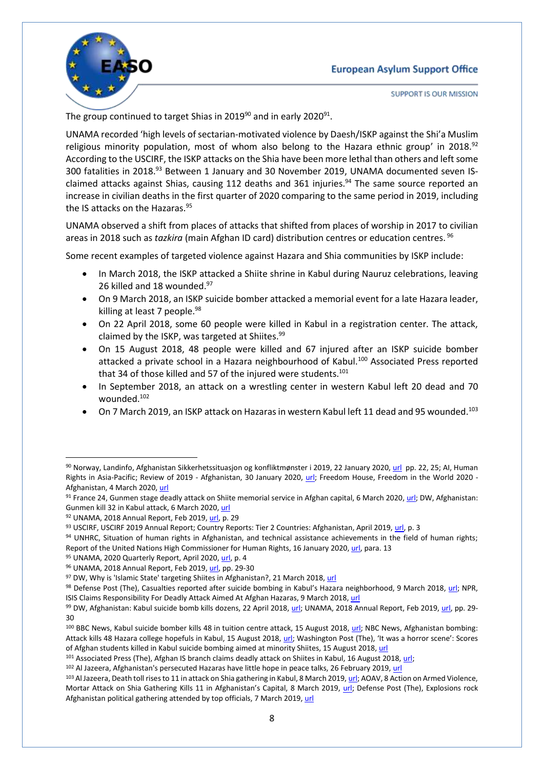

**SUPPORT IS OUR MISSION** 

The group continued to target Shias in 2019<sup>90</sup> and in early 2020<sup>91</sup>.

UNAMA recorded 'high levels of sectarian-motivated violence by Daesh/ISKP against the Shi'a Muslim religious minority population, most of whom also belong to the Hazara ethnic group' in 2018.<sup>92</sup> According to the USCIRF, the ISKP attacks on the Shia have been more lethal than others and left some 300 fatalities in 2018.<sup>93</sup> Between 1 January and 30 November 2019, UNAMA documented seven ISclaimed attacks against Shias, causing 112 deaths and 361 injuries.<sup>94</sup> The same source reported an increase in civilian deaths in the first quarter of 2020 comparing to the same period in 2019, including the IS attacks on the Hazaras.<sup>95</sup>

UNAMA observed a shift from places of attacks that shifted from places of worship in 2017 to civilian areas in 2018 such as *tazkira* (main Afghan ID card) distribution centres or education centres. 96

Some recent examples of targeted violence against Hazara and Shia communities by ISKP include:

- In March 2018, the ISKP attacked a Shiite shrine in Kabul during Nauruz celebrations, leaving 26 killed and 18 wounded.<sup>97</sup>
- On 9 March 2018, an ISKP suicide bomber attacked a memorial event for a late Hazara leader, killing at least 7 people. $98$
- On 22 April 2018, some 60 people were killed in Kabul in a registration center. The attack, claimed by the ISKP, was targeted at Shiites.<sup>99</sup>
- On 15 August 2018, 48 people were killed and 67 injured after an ISKP suicide bomber attacked a private school in a Hazara neighbourhood of Kabul.<sup>100</sup> Associated Press reported that 34 of those killed and 57 of the injured were students.<sup>101</sup>
- In September 2018, an attack on a wrestling center in western Kabul left 20 dead and 70 wounded.<sup>102</sup>
- On 7 March 2019, an ISKP attack on Hazaras in western Kabul left 11 dead and 95 wounded.<sup>103</sup>

1

102 Al Jazeera, Afghanistan's persecuted Hazaras have little hope in peace talks, 26 February 2019[, url](https://www.aljazeera.com/indepth/features/afghanistan-persecuted-hazaras-hope-peace-talks-190225211534278.html)

<sup>90</sup> Norway, Landinfo, Afghanistan Sikkerhetssituasjon og konfliktmønster i 2019, 22 January 2020, [url](https://www.ecoi.net/en/file/local/2023183/Temanotat-Afghanistan-Sikkerhetssituasjonen-og-konfliktm%C3%B8nster-i-2019-22012020.pdf) pp. 22, 25; AI, Human Rights in Asia-Pacific; Review of 2019 - Afghanistan, 30 January 2020, [url;](https://www.amnesty.org/en/countries/asia-and-the-pacific/afghanistan/report-afghanistan/) Freedom House, Freedom in the World 2020 -Afghanistan, 4 March 2020[, url](https://freedomhouse.org/country/afghanistan/freedom-world/2020)

<sup>91</sup> France 24, Gunmen stage deadly attack on Shiite memorial service in Afghan capital, 6 March 2020[, url;](https://www.france24.com/en/20200306-gunmen-stage-deadly-attack-on-shiite-memorial-service-in-afghan-capital) DW, Afghanistan: Gunmen kill 32 in Kabul attack, 6 March 2020, [url](https://www.dw.com/en/afghanistan-gunmen-kill-32-in-kabul-attack/a-52668281)

<sup>92</sup> UNAMA, 2018 Annual Report, Feb 2019[, url,](https://unama.unmissions.org/sites/default/files/unama_annual_protection_of_civilians_report_2018_-_23_feb_2019_-_english.pdf) p. 29

<sup>93</sup> USCIRF, USCIRF 2019 Annual Report; Country Reports: Tier 2 Countries: Afghanistan, April 2019, [url,](https://www.uscirf.gov/sites/default/files/Tier2_AFGHANISTAN_2019.pdf) p. 3

<sup>94</sup> UNHRC, Situation of human rights in Afghanistan, and technical assistance achievements in the field of human rights; Report of the United Nations High Commissioner for Human Rights, 16 January 2020[, url,](https://undocs.org/en/A/HRC/43/74) para. 13

<sup>95</sup> UNAMA, 2020 Quarterly Report, April 2020[, url,](https://unama.unmissions.org/sites/default/files/unama_protection_of_civilians_in_armed_conflict_-_2020_first_quarter_report_english_0.pdf) p. 4

<sup>96</sup> UNAMA, 2018 Annual Report, Feb 2019[, url,](https://unama.unmissions.org/sites/default/files/unama_annual_protection_of_civilians_report_2018_-_23_feb_2019_-_english.pdf) pp. 29-30

<sup>97</sup> DW, Why is 'Islamic State' targeting Shiites in Afghanistan?, 21 March 2018, [url](https://www.dw.com/en/why-is-islamic-state-targeting-shiites-in-afghanistan/a-41958793)

<sup>98</sup> Defense Post (The), Casualties reported after suicide bombing in Kabul's Hazara neighborhood, 9 March 2018, [url;](https://www.thedefensepost.com/2018/03/09/afghanistan-suicide-bomb-kabul-hazara-memorial/) NPR, ISIS Claims Responsibility For Deadly Attack Aimed At Afghan Hazaras, 9 March 2018, [url](https://www.npr.org/sections/thetwo-way/2018/03/09/592210383/isis-claims-responsibility-for-deadly-attack-aimed-at-afghan-hazaras?t=1593612452530)

<sup>99</sup> DW, Afghanistan: Kabul suicide bomb kills dozens, 22 April 2018, [url;](https://www.dw.com/en/afghanistan-kabul-suicide-bomb-kills-dozens/a-43486332) UNAMA, 2018 Annual Report, Feb 2019[, url,](https://unama.unmissions.org/sites/default/files/unama_annual_protection_of_civilians_report_2018_-_23_feb_2019_-_english.pdf) pp. 29-30

<sup>&</sup>lt;sup>100</sup> BBC News, Kabul suicide bomber kills 48 in tuition centre attack, 15 August 2018, [url;](https://www.bbc.com/news/world-asia-45199904) NBC News, Afghanistan bombing: Attack kills 48 Hazara college hopefuls in Kabul, 15 August 2018, [url](https://www.nbcnews.com/news/world/afghanistan-bombing-attack-kills-48-hazara-college-hopefuls-kabul-n900916); Washington Post (The), 'It was a horror scene': Scores of Afghan students killed in Kabul suicide bombing aimed at minority Shiites, 15 August 2018[, url](https://www.washingtonpost.com/world/suicide-bomber-kills-at-least-25-in-shiite-district-of-aghan-capital/2018/08/15/c404df6e-a08b-11e8-a3dd-2a1991f075d5_story.html)

<sup>&</sup>lt;sup>101</sup> Associated Press (The), Afghan IS branch claims deadly attack on Shiites in Kabul, 16 August 2018[, url;](https://www.apnews.com/11431e698aa5451eb0b88ea41e4e8496)

<sup>103</sup> Al Jazeera, Death toll rises to 11 in attack on Shia gathering in Kabul, 8 March 2019[, url;](https://www.aljazeera.com/news/2019/03/death-toll-rises-11-afghan-capital-attack-shia-gathering-190308102222870.html) AOAV, 8 Action on Armed Violence, Mortar Attack on Shia Gathering Kills 11 in Afghanistan's Capital, 8 March 2019, [url;](https://aoav.org.uk/2019/mortar-attack-on-shia-gathering-kills-11-in-afghanistans-capital/) Defense Post (The), Explosions rock Afghanistan political gathering attended by top officials, 7 March 2019[, url](https://www.thedefensepost.com/2019/03/07/afghanistan-kabul-hazara-ceremony-bombing/)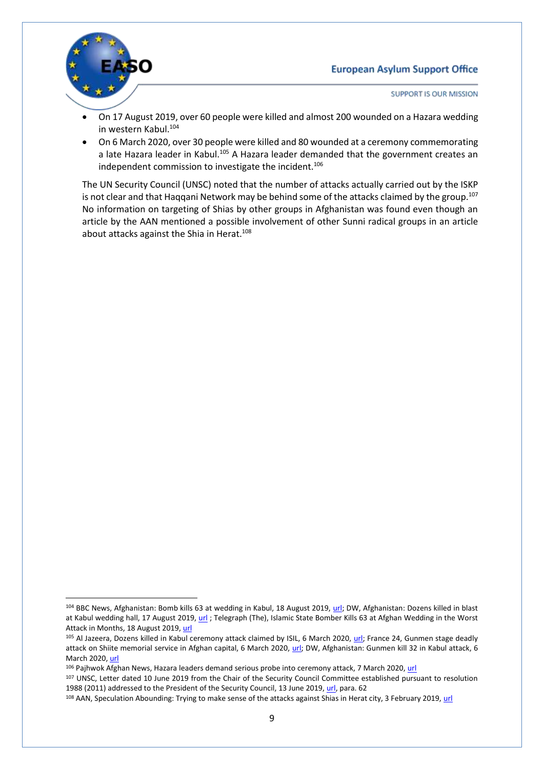

 $\overline{\phantom{a}}$ 

SUPPORT IS OUR MISSION

- On 17 August 2019, over 60 people were killed and almost 200 wounded on a Hazara wedding in western Kabul.<sup>104</sup>
- On 6 March 2020, over 30 people were killed and 80 wounded at a ceremony commemorating a late Hazara leader in Kabul.<sup>105</sup> A Hazara leader demanded that the government creates an independent commission to investigate the incident.<sup>106</sup>

The UN Security Council (UNSC) noted that the number of attacks actually carried out by the ISKP is not clear and that Haqqani Network may be behind some of the attacks claimed by the group.<sup>107</sup> No information on targeting of Shias by other groups in Afghanistan was found even though an article by the AAN mentioned a possible involvement of other Sunni radical groups in an article about attacks against the Shia in Herat.<sup>108</sup>

<sup>&</sup>lt;sup>104</sup> BBC News, Afghanistan: Bomb kills 63 at wedding in Kabul, 18 August 2019[, url;](https://www.bbc.co.uk/news/world-asia-49383803) DW, Afghanistan: Dozens killed in blast at Kabul wedding hall, 17 August 2019[, url](https://www.dw.com/en/afghanistan-dozens-killed-in-blast-at-kabul-wedding-hall/a-50066065) ; Telegraph (The), Islamic State Bomber Kills 63 at Afghan Wedding in the Worst Attack in Months, 18 August 2019[, url](https://www.telegraph.co.uk/news/2019/08/17/suicide-bomb-rips-wedding-blast-kabul-dozens-feared-dead/) 

<sup>105</sup> Al Jazeera, Dozens killed in Kabul ceremony attack claimed by ISIL, 6 March 2020, [url;](https://www.aljazeera.com/news/2020/03/kabul-gathering-attended-abdullah-hit-rocket-attack-report-200306074951081.html) France 24, Gunmen stage deadly attack on Shiite memorial service in Afghan capital, 6 March 2020, [url;](https://www.france24.com/en/20200306-gunmen-stage-deadly-attack-on-shiite-memorial-service-in-afghan-capital) DW, Afghanistan: Gunmen kill 32 in Kabul attack, 6 March 2020[, url](https://www.dw.com/en/afghanistan-gunmen-kill-32-in-kabul-attack/a-52668281)

<sup>&</sup>lt;sup>106</sup> Pajhwok Afghan News, Hazara leaders demand serious probe into ceremony attack, 7 March 2020, [url](https://www.pajhwok.com/en/2020/03/07/hazara-leaders-demand-serious-probe-ceremony-attack)

<sup>107</sup> UNSC, Letter dated 10 June 2019 from the Chair of the Security Council Committee established pursuant to resolution 1988 (2011) addressed to the President of the Security Council, 13 June 2019[, url,](https://www.securitycouncilreport.org/atf/cf/%7B65BFCF9B-6D27-4E9C-8CD3-CF6E4FF96FF9%7D/s_2019_481.pdf) para. 62

<sup>&</sup>lt;sup>108</sup> AAN, Speculation Abounding: Trying to make sense of the attacks against Shias in Herat city, 3 February 2019[, url](https://www.afghanistan-analysts.org/en/reports/war-and-peace/speculation-abounding-trying-to-make-sense-of-the-attacks-against-shias-in-herat-city/)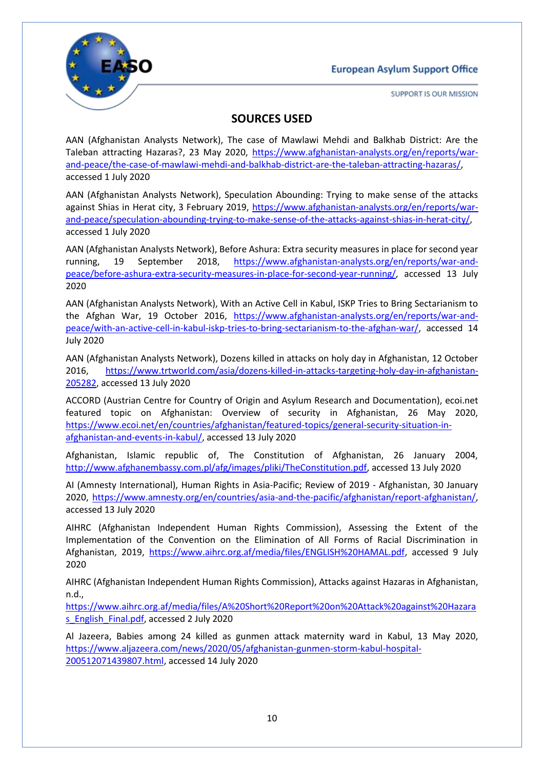

SUPPORT IS OUR MISSION

# **SOURCES USED**

AAN (Afghanistan Analysts Network), The case of Mawlawi Mehdi and Balkhab District: Are the Taleban attracting Hazaras?, 23 May 2020, [https://www.afghanistan-analysts.org/en/reports/war](https://www.afghanistan-analysts.org/en/reports/war-and-peace/the-case-of-mawlawi-mehdi-and-balkhab-district-are-the-taleban-attracting-hazaras/)[and-peace/the-case-of-mawlawi-mehdi-and-balkhab-district-are-the-taleban-attracting-hazaras/,](https://www.afghanistan-analysts.org/en/reports/war-and-peace/the-case-of-mawlawi-mehdi-and-balkhab-district-are-the-taleban-attracting-hazaras/) accessed 1 July 2020

AAN (Afghanistan Analysts Network), Speculation Abounding: Trying to make sense of the attacks against Shias in Herat city, 3 February 2019, [https://www.afghanistan-analysts.org/en/reports/war](https://www.afghanistan-analysts.org/en/reports/war-and-peace/speculation-abounding-trying-to-make-sense-of-the-attacks-against-shias-in-herat-city/)[and-peace/speculation-abounding-trying-to-make-sense-of-the-attacks-against-shias-in-herat-city/,](https://www.afghanistan-analysts.org/en/reports/war-and-peace/speculation-abounding-trying-to-make-sense-of-the-attacks-against-shias-in-herat-city/) accessed 1 July 2020

AAN (Afghanistan Analysts Network), Before Ashura: Extra security measures in place for second year running, 19 September 2018, [https://www.afghanistan-analysts.org/en/reports/war-and](https://www.afghanistan-analysts.org/en/reports/war-and-peace/before-ashura-extra-security-measures-in-place-for-second-year-running/)[peace/before-ashura-extra-security-measures-in-place-for-second-year-running/,](https://www.afghanistan-analysts.org/en/reports/war-and-peace/before-ashura-extra-security-measures-in-place-for-second-year-running/) accessed 13 July 2020

AAN (Afghanistan Analysts Network), With an Active Cell in Kabul, ISKP Tries to Bring Sectarianism to the Afghan War, 19 October 2016, [https://www.afghanistan-analysts.org/en/reports/war-and](https://www.afghanistan-analysts.org/en/reports/war-and-peace/with-an-active-cell-in-kabul-iskp-tries-to-bring-sectarianism-to-the-afghan-war/)[peace/with-an-active-cell-in-kabul-iskp-tries-to-bring-sectarianism-to-the-afghan-war/,](https://www.afghanistan-analysts.org/en/reports/war-and-peace/with-an-active-cell-in-kabul-iskp-tries-to-bring-sectarianism-to-the-afghan-war/) accessed 14 July 2020

AAN (Afghanistan Analysts Network), Dozens killed in attacks on holy day in Afghanistan, 12 October 2016, [https://www.trtworld.com/asia/dozens-killed-in-attacks-targeting-holy-day-in-afghanistan-](https://www.trtworld.com/asia/dozens-killed-in-attacks-targeting-holy-day-in-afghanistan-205282)[205282,](https://www.trtworld.com/asia/dozens-killed-in-attacks-targeting-holy-day-in-afghanistan-205282) accessed 13 July 2020

ACCORD (Austrian Centre for Country of Origin and Asylum Research and Documentation), ecoi.net featured topic on Afghanistan: Overview of security in Afghanistan, 26 May 2020, [https://www.ecoi.net/en/countries/afghanistan/featured-topics/general-security-situation-in](https://www.ecoi.net/en/countries/afghanistan/featured-topics/general-security-situation-in-afghanistan-and-events-in-kabul/)[afghanistan-and-events-in-kabul/,](https://www.ecoi.net/en/countries/afghanistan/featured-topics/general-security-situation-in-afghanistan-and-events-in-kabul/) accessed 13 July 2020

Afghanistan, Islamic republic of, The Constitution of Afghanistan, 26 January 2004, [http://www.afghanembassy.com.pl/afg/images/pliki/TheConstitution.pdf,](http://www.afghanembassy.com.pl/afg/images/pliki/TheConstitution.pdf) accessed 13 July 2020

AI (Amnesty International), Human Rights in Asia-Pacific; Review of 2019 - Afghanistan, 30 January 2020, [https://www.amnesty.org/en/countries/asia-and-the-pacific/afghanistan/report-afghanistan/,](https://www.amnesty.org/en/countries/asia-and-the-pacific/afghanistan/report-afghanistan/) accessed 13 July 2020

AIHRC (Afghanistan Independent Human Rights Commission), Assessing the Extent of the Implementation of the Convention on the Elimination of All Forms of Racial Discrimination in Afghanistan, 2019, [https://www.aihrc.org.af/media/files/ENGLISH%20HAMAL.pdf,](https://www.aihrc.org.af/media/files/ENGLISH%20HAMAL.pdf) accessed 9 July 2020

AIHRC (Afghanistan Independent Human Rights Commission), Attacks against Hazaras in Afghanistan, n.d.,

[https://www.aihrc.org.af/media/files/A%20Short%20Report%20on%20Attack%20against%20Hazara](https://www.aihrc.org.af/media/files/A%20Short%20Report%20on%20Attack%20against%20Hazaras_English_Final.pdf) s English Final.pdf, accessed 2 July 2020

Al Jazeera, Babies among 24 killed as gunmen attack maternity ward in Kabul, 13 May 2020, [https://www.aljazeera.com/news/2020/05/afghanistan-gunmen-storm-kabul-hospital-](https://www.aljazeera.com/news/2020/05/afghanistan-gunmen-storm-kabul-hospital-200512071439807.html)[200512071439807.html,](https://www.aljazeera.com/news/2020/05/afghanistan-gunmen-storm-kabul-hospital-200512071439807.html) accessed 14 July 2020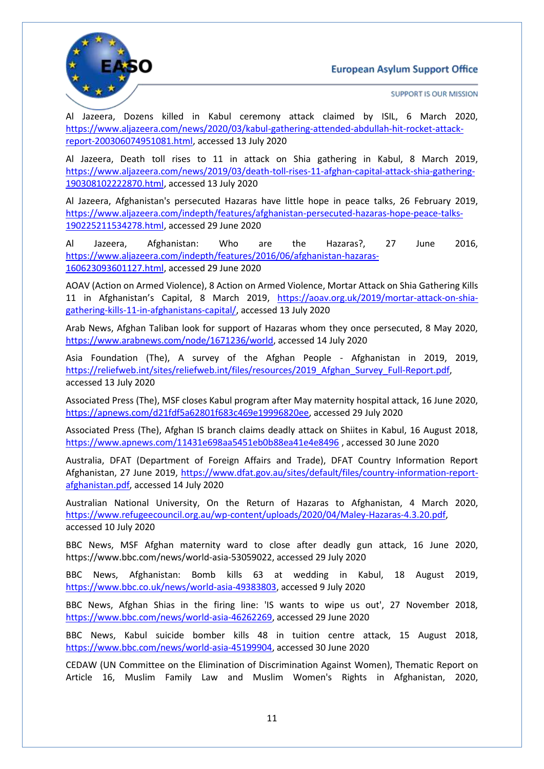

SUPPORT IS OUR MISSION

Al Jazeera, Dozens killed in Kabul ceremony attack claimed by ISIL, 6 March 2020, [https://www.aljazeera.com/news/2020/03/kabul-gathering-attended-abdullah-hit-rocket-attack](https://www.aljazeera.com/news/2020/03/kabul-gathering-attended-abdullah-hit-rocket-attack-report-200306074951081.html)[report-200306074951081.html,](https://www.aljazeera.com/news/2020/03/kabul-gathering-attended-abdullah-hit-rocket-attack-report-200306074951081.html) accessed 13 July 2020

Al Jazeera, Death toll rises to 11 in attack on Shia gathering in Kabul, 8 March 2019, [https://www.aljazeera.com/news/2019/03/death-toll-rises-11-afghan-capital-attack-shia-gathering-](https://www.aljazeera.com/news/2019/03/death-toll-rises-11-afghan-capital-attack-shia-gathering-190308102222870.html)[190308102222870.html,](https://www.aljazeera.com/news/2019/03/death-toll-rises-11-afghan-capital-attack-shia-gathering-190308102222870.html) accessed 13 July 2020

Al Jazeera, Afghanistan's persecuted Hazaras have little hope in peace talks, 26 February 2019, [https://www.aljazeera.com/indepth/features/afghanistan-persecuted-hazaras-hope-peace-talks-](https://www.aljazeera.com/indepth/features/afghanistan-persecuted-hazaras-hope-peace-talks-190225211534278.html)[190225211534278.html,](https://www.aljazeera.com/indepth/features/afghanistan-persecuted-hazaras-hope-peace-talks-190225211534278.html) accessed 29 June 2020

Al Jazeera, Afghanistan: Who are the Hazaras?, 27 June 2016, [https://www.aljazeera.com/indepth/features/2016/06/afghanistan-hazaras-](https://www.aljazeera.com/indepth/features/2016/06/afghanistan-hazaras-160623093601127.html)[160623093601127.html,](https://www.aljazeera.com/indepth/features/2016/06/afghanistan-hazaras-160623093601127.html) accessed 29 June 2020

AOAV (Action on Armed Violence), 8 Action on Armed Violence, Mortar Attack on Shia Gathering Kills 11 in Afghanistan's Capital, 8 March 2019, [https://aoav.org.uk/2019/mortar-attack-on-shia](https://aoav.org.uk/2019/mortar-attack-on-shia-gathering-kills-11-in-afghanistans-capital/)[gathering-kills-11-in-afghanistans-capital/,](https://aoav.org.uk/2019/mortar-attack-on-shia-gathering-kills-11-in-afghanistans-capital/) accessed 13 July 2020

Arab News, Afghan Taliban look for support of Hazaras whom they once persecuted, 8 May 2020, [https://www.arabnews.com/node/1671236/world,](https://www.arabnews.com/node/1671236/world) accessed 14 July 2020

Asia Foundation (The), A survey of the Afghan People - Afghanistan in 2019, 2019, [https://reliefweb.int/sites/reliefweb.int/files/resources/2019\\_Afghan\\_Survey\\_Full-Report.pdf,](https://reliefweb.int/sites/reliefweb.int/files/resources/2019_Afghan_Survey_Full-Report.pdf) accessed 13 July 2020

Associated Press (The), MSF closes Kabul program after May maternity hospital attack, 16 June 2020, [https://apnews.com/d21fdf5a62801f683c469e19996820ee,](https://apnews.com/d21fdf5a62801f683c469e19996820ee) accessed 29 July 2020

Associated Press (The), Afghan IS branch claims deadly attack on Shiites in Kabul, 16 August 2018, <https://www.apnews.com/11431e698aa5451eb0b88ea41e4e8496> , accessed 30 June 2020

Australia, DFAT (Department of Foreign Affairs and Trade), DFAT Country Information Report Afghanistan, 27 June 2019, [https://www.dfat.gov.au/sites/default/files/country-information-report](https://www.dfat.gov.au/sites/default/files/country-information-report-afghanistan.pdf)[afghanistan.pdf,](https://www.dfat.gov.au/sites/default/files/country-information-report-afghanistan.pdf) accessed 14 July 2020

Australian National University, On the Return of Hazaras to Afghanistan, 4 March 2020, [https://www.refugeecouncil.org.au/wp-content/uploads/2020/04/Maley-Hazaras-4.3.20.pdf,](https://www.refugeecouncil.org.au/wp-content/uploads/2020/04/Maley-Hazaras-4.3.20.pdf) accessed 10 July 2020

BBC News, MSF Afghan maternity ward to close after deadly gun attack, 16 June 2020, https://www.bbc.com/news/world-asia-53059022, accessed 29 July 2020

BBC News, Afghanistan: Bomb kills 63 at wedding in Kabul, 18 August 2019, [https://www.bbc.co.uk/news/world-asia-49383803,](https://www.bbc.co.uk/news/world-asia-49383803) accessed 9 July 2020

BBC News, Afghan Shias in the firing line: 'IS wants to wipe us out', 27 November 2018, [https://www.bbc.com/news/world-asia-46262269,](https://www.bbc.com/news/world-asia-46262269) accessed 29 June 2020

BBC News, Kabul suicide bomber kills 48 in tuition centre attack, 15 August 2018, [https://www.bbc.com/news/world-asia-45199904,](https://www.bbc.com/news/world-asia-45199904) accessed 30 June 2020

CEDAW (UN Committee on the Elimination of Discrimination Against Women), Thematic Report on Article 16, Muslim Family Law and Muslim Women's Rights in Afghanistan, 2020,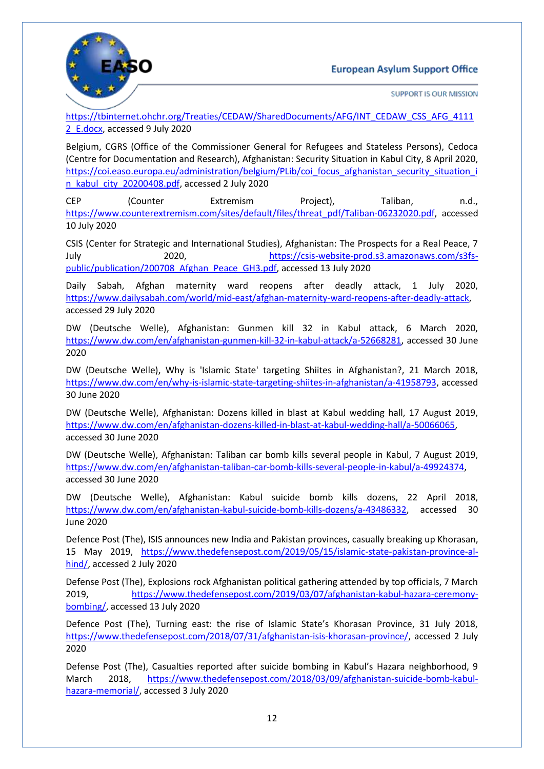



SUPPORT IS OUR MISSION

[https://tbinternet.ohchr.org/Treaties/CEDAW/SharedDocuments/AFG/INT\\_CEDAW\\_CSS\\_AFG\\_4111](https://tbinternet.ohchr.org/Treaties/CEDAW/SharedDocuments/AFG/INT_CEDAW_CSS_AFG_41112_E.docx) 2 E.docx, accessed 9 July 2020

Belgium, CGRS (Office of the Commissioner General for Refugees and Stateless Persons), Cedoca (Centre for Documentation and Research), Afghanistan: Security Situation in Kabul City, 8 April 2020, [https://coi.easo.europa.eu/administration/belgium/PLib/coi\\_focus\\_afghanistan\\_security\\_situation\\_i](https://coi.easo.europa.eu/administration/belgium/PLib/coi_focus_afghanistan_security_situation_in_kabul_city_20200408.pdf) [n\\_kabul\\_city\\_20200408.pdf,](https://coi.easo.europa.eu/administration/belgium/PLib/coi_focus_afghanistan_security_situation_in_kabul_city_20200408.pdf) accessed 2 July 2020

CEP (Counter Extremism Project), Taliban, n.d., [https://www.counterextremism.com/sites/default/files/threat\\_pdf/Taliban-06232020.pdf,](https://www.counterextremism.com/sites/default/files/threat_pdf/Taliban-06232020.pdf) accessed 10 July 2020

CSIS (Center for Strategic and International Studies), Afghanistan: The Prospects for a Real Peace, 7 July 2020, [https://csis-website-prod.s3.amazonaws.com/s3fs](https://csis-website-prod.s3.amazonaws.com/s3fs-public/publication/200708_Afghan_Peace_GH3.pdf)[public/publication/200708\\_Afghan\\_Peace\\_GH3.pdf,](https://csis-website-prod.s3.amazonaws.com/s3fs-public/publication/200708_Afghan_Peace_GH3.pdf) accessed 13 July 2020

Daily Sabah, Afghan maternity ward reopens after deadly attack, 1 July 2020, [https://www.dailysabah.com/world/mid-east/afghan-maternity-ward-reopens-after-deadly-attack,](https://www.dailysabah.com/world/mid-east/afghan-maternity-ward-reopens-after-deadly-attack) accessed 29 July 2020

DW (Deutsche Welle), Afghanistan: Gunmen kill 32 in Kabul attack, 6 March 2020, [https://www.dw.com/en/afghanistan-gunmen-kill-32-in-kabul-attack/a-52668281,](https://www.dw.com/en/afghanistan-gunmen-kill-32-in-kabul-attack/a-52668281) accessed 30 June 2020

DW (Deutsche Welle), Why is 'Islamic State' targeting Shiites in Afghanistan?, 21 March 2018, [https://www.dw.com/en/why-is-islamic-state-targeting-shiites-in-afghanistan/a-41958793,](https://www.dw.com/en/why-is-islamic-state-targeting-shiites-in-afghanistan/a-41958793) accessed 30 June 2020

DW (Deutsche Welle), Afghanistan: Dozens killed in blast at Kabul wedding hall, 17 August 2019, [https://www.dw.com/en/afghanistan-dozens-killed-in-blast-at-kabul-wedding-hall/a-50066065,](https://www.dw.com/en/afghanistan-dozens-killed-in-blast-at-kabul-wedding-hall/a-50066065) accessed 30 June 2020

DW (Deutsche Welle), Afghanistan: Taliban car bomb kills several people in Kabul, 7 August 2019, [https://www.dw.com/en/afghanistan-taliban-car-bomb-kills-several-people-in-kabul/a-49924374,](https://www.dw.com/en/afghanistan-taliban-car-bomb-kills-several-people-in-kabul/a-49924374) accessed 30 June 2020

DW (Deutsche Welle), Afghanistan: Kabul suicide bomb kills dozens, 22 April 2018, [https://www.dw.com/en/afghanistan-kabul-suicide-bomb-kills-dozens/a-43486332,](https://www.dw.com/en/afghanistan-kabul-suicide-bomb-kills-dozens/a-43486332) accessed 30 June 2020

Defence Post (The), ISIS announces new India and Pakistan provinces, casually breaking up Khorasan, 15 May 2019, [https://www.thedefensepost.com/2019/05/15/islamic-state-pakistan-province-al](https://www.thedefensepost.com/2019/05/15/islamic-state-pakistan-province-al-hind/)[hind/,](https://www.thedefensepost.com/2019/05/15/islamic-state-pakistan-province-al-hind/) accessed 2 July 2020

Defense Post (The), Explosions rock Afghanistan political gathering attended by top officials, 7 March 2019, [https://www.thedefensepost.com/2019/03/07/afghanistan-kabul-hazara-ceremony](https://www.thedefensepost.com/2019/03/07/afghanistan-kabul-hazara-ceremony-bombing/)[bombing/,](https://www.thedefensepost.com/2019/03/07/afghanistan-kabul-hazara-ceremony-bombing/) accessed 13 July 2020

Defence Post (The), Turning east: the rise of Islamic State's Khorasan Province, 31 July 2018, [https://www.thedefensepost.com/2018/07/31/afghanistan-isis-khorasan-province/,](https://www.thedefensepost.com/2018/07/31/afghanistan-isis-khorasan-province/) accessed 2 July 2020

Defense Post (The), Casualties reported after suicide bombing in Kabul's Hazara neighborhood, 9 March 2018, [https://www.thedefensepost.com/2018/03/09/afghanistan-suicide-bomb-kabul](https://www.thedefensepost.com/2018/03/09/afghanistan-suicide-bomb-kabul-hazara-memorial/)[hazara-memorial/,](https://www.thedefensepost.com/2018/03/09/afghanistan-suicide-bomb-kabul-hazara-memorial/) accessed 3 July 2020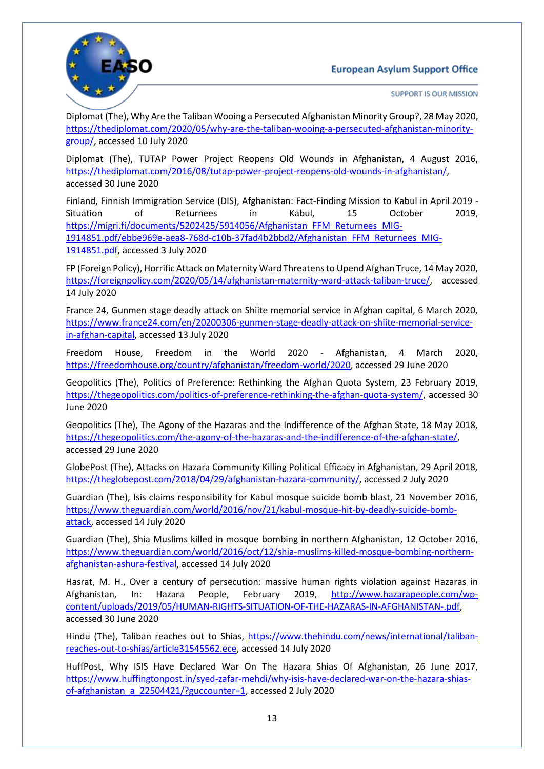

SUPPORT IS OUR MISSION

Diplomat (The), Why Are the Taliban Wooing a Persecuted Afghanistan Minority Group?, 28 May 2020, [https://thediplomat.com/2020/05/why-are-the-taliban-wooing-a-persecuted-afghanistan-minority](https://thediplomat.com/2020/05/why-are-the-taliban-wooing-a-persecuted-afghanistan-minority-group/)[group/,](https://thediplomat.com/2020/05/why-are-the-taliban-wooing-a-persecuted-afghanistan-minority-group/) accessed 10 July 2020

Diplomat (The), TUTAP Power Project Reopens Old Wounds in Afghanistan, 4 August 2016, [https://thediplomat.com/2016/08/tutap-power-project-reopens-old-wounds-in-afghanistan/,](https://thediplomat.com/2016/08/tutap-power-project-reopens-old-wounds-in-afghanistan/) accessed 30 June 2020

Finland, Finnish Immigration Service (DIS), Afghanistan: Fact-Finding Mission to Kabul in April 2019 - Situation of Returnees in Kabul, 15 October 2019, [https://migri.fi/documents/5202425/5914056/Afghanistan\\_FFM\\_Returnees\\_MIG-](https://migri.fi/documents/5202425/5914056/Afghanistan_FFM_Returnees_MIG-1914851.pdf/ebbe969e-aea8-768d-c10b-37fad4b2bbd2/Afghanistan_FFM_Returnees_MIG-1914851.pdf)[1914851.pdf/ebbe969e-aea8-768d-c10b-37fad4b2bbd2/Afghanistan\\_FFM\\_Returnees\\_MIG-](https://migri.fi/documents/5202425/5914056/Afghanistan_FFM_Returnees_MIG-1914851.pdf/ebbe969e-aea8-768d-c10b-37fad4b2bbd2/Afghanistan_FFM_Returnees_MIG-1914851.pdf)[1914851.pdf,](https://migri.fi/documents/5202425/5914056/Afghanistan_FFM_Returnees_MIG-1914851.pdf/ebbe969e-aea8-768d-c10b-37fad4b2bbd2/Afghanistan_FFM_Returnees_MIG-1914851.pdf) accessed 3 July 2020

FP (Foreign Policy), Horrific Attack on Maternity Ward Threatens to Upend Afghan Truce, 14 May 2020, [https://foreignpolicy.com/2020/05/14/afghanistan-maternity-ward-attack-taliban-truce/,](https://foreignpolicy.com/2020/05/14/afghanistan-maternity-ward-attack-taliban-truce/) accessed 14 July 2020

France 24, Gunmen stage deadly attack on Shiite memorial service in Afghan capital, 6 March 2020, [https://www.france24.com/en/20200306-gunmen-stage-deadly-attack-on-shiite-memorial-service](https://www.france24.com/en/20200306-gunmen-stage-deadly-attack-on-shiite-memorial-service-in-afghan-capital)[in-afghan-capital,](https://www.france24.com/en/20200306-gunmen-stage-deadly-attack-on-shiite-memorial-service-in-afghan-capital) accessed 13 July 2020

Freedom House, Freedom in the World 2020 - Afghanistan, 4 March 2020, [https://freedomhouse.org/country/afghanistan/freedom-world/2020,](https://freedomhouse.org/country/afghanistan/freedom-world/2020) accessed 29 June 2020

Geopolitics (The), Politics of Preference: Rethinking the Afghan Quota System, 23 February 2019, [https://thegeopolitics.com/politics-of-preference-rethinking-the-afghan-quota-system/,](https://thegeopolitics.com/politics-of-preference-rethinking-the-afghan-quota-system/) accessed 30 June 2020

Geopolitics (The), The Agony of the Hazaras and the Indifference of the Afghan State, 18 May 2018, [https://thegeopolitics.com/the-agony-of-the-hazaras-and-the-indifference-of-the-afghan-state/,](https://thegeopolitics.com/the-agony-of-the-hazaras-and-the-indifference-of-the-afghan-state/) accessed 29 June 2020

GlobePost (The), Attacks on Hazara Community Killing Political Efficacy in Afghanistan, 29 April 2018, [https://theglobepost.com/2018/04/29/afghanistan-hazara-community/,](https://theglobepost.com/2018/04/29/afghanistan-hazara-community/) accessed 2 July 2020

Guardian (The), Isis claims responsibility for Kabul mosque suicide bomb blast, 21 November 2016, [https://www.theguardian.com/world/2016/nov/21/kabul-mosque-hit-by-deadly-suicide-bomb](https://www.theguardian.com/world/2016/nov/21/kabul-mosque-hit-by-deadly-suicide-bomb-attack)[attack,](https://www.theguardian.com/world/2016/nov/21/kabul-mosque-hit-by-deadly-suicide-bomb-attack) accessed 14 July 2020

Guardian (The), Shia Muslims killed in mosque bombing in northern Afghanistan, 12 October 2016, [https://www.theguardian.com/world/2016/oct/12/shia-muslims-killed-mosque-bombing-northern](https://www.theguardian.com/world/2016/oct/12/shia-muslims-killed-mosque-bombing-northern-afghanistan-ashura-festival)[afghanistan-ashura-festival,](https://www.theguardian.com/world/2016/oct/12/shia-muslims-killed-mosque-bombing-northern-afghanistan-ashura-festival) accessed 14 July 2020

Hasrat, M. H., Over a century of persecution: massive human rights violation against Hazaras in Afghanistan, In: Hazara People, February 2019, [http://www.hazarapeople.com/wp](http://www.hazarapeople.com/wp-content/uploads/2019/05/HUMAN-RIGHTS-SITUATION-OF-THE-HAZARAS-IN-AFGHANISTAN-.pdf)[content/uploads/2019/05/HUMAN-RIGHTS-SITUATION-OF-THE-HAZARAS-IN-AFGHANISTAN-.pdf,](http://www.hazarapeople.com/wp-content/uploads/2019/05/HUMAN-RIGHTS-SITUATION-OF-THE-HAZARAS-IN-AFGHANISTAN-.pdf) accessed 30 June 2020

Hindu (The), Taliban reaches out to Shias, [https://www.thehindu.com/news/international/taliban](https://www.thehindu.com/news/international/taliban-reaches-out-to-shias/article31545562.ece)[reaches-out-to-shias/article31545562.ece,](https://www.thehindu.com/news/international/taliban-reaches-out-to-shias/article31545562.ece) accessed 14 July 2020

HuffPost, Why ISIS Have Declared War On The Hazara Shias Of Afghanistan, 26 June 2017, [https://www.huffingtonpost.in/syed-zafar-mehdi/why-isis-have-declared-war-on-the-hazara-shias](https://www.huffingtonpost.in/syed-zafar-mehdi/why-isis-have-declared-war-on-the-hazara-shias-of-afghanistan_a_22504421/?guccounter=1)[of-afghanistan\\_a\\_22504421/?guccounter=1,](https://www.huffingtonpost.in/syed-zafar-mehdi/why-isis-have-declared-war-on-the-hazara-shias-of-afghanistan_a_22504421/?guccounter=1) accessed 2 July 2020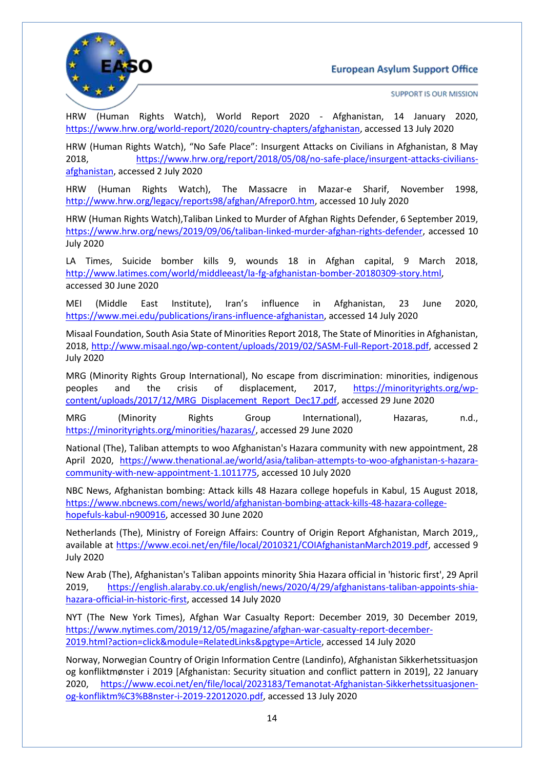

SUPPORT IS OUR MISSION

HRW (Human Rights Watch), World Report 2020 - Afghanistan, 14 January 2020, [https://www.hrw.org/world-report/2020/country-chapters/afghanistan,](https://www.hrw.org/world-report/2020/country-chapters/afghanistan) accessed 13 July 2020

HRW (Human Rights Watch), "No Safe Place": Insurgent Attacks on Civilians in Afghanistan, 8 May 2018, [https://www.hrw.org/report/2018/05/08/no-safe-place/insurgent-attacks-civilians](https://www.hrw.org/report/2018/05/08/no-safe-place/insurgent-attacks-civilians-afghanistan)[afghanistan,](https://www.hrw.org/report/2018/05/08/no-safe-place/insurgent-attacks-civilians-afghanistan) accessed 2 July 2020

HRW (Human Rights Watch), The Massacre in Mazar-e Sharif, November 1998, [http://www.hrw.org/legacy/reports98/afghan/Afrepor0.htm,](http://www.hrw.org/legacy/reports98/afghan/Afrepor0.htm) accessed 10 July 2020

HRW (Human Rights Watch),Taliban Linked to Murder of Afghan Rights Defender, 6 September 2019, [https://www.hrw.org/news/2019/09/06/taliban-linked-murder-afghan-rights-defender,](https://www.hrw.org/news/2019/09/06/taliban-linked-murder-afghan-rights-defender) accessed 10 July 2020

LA Times, Suicide bomber kills 9, wounds 18 in Afghan capital, 9 March 2018, [http://www.latimes.com/world/middleeast/la-fg-afghanistan-bomber-20180309-story.html,](http://www.latimes.com/world/middleeast/la-fg-afghanistan-bomber-20180309-story.html) accessed 30 June 2020

MEI (Middle East Institute), Iran's influence in Afghanistan, 23 June 2020, [https://www.mei.edu/publications/irans-influence-afghanistan,](https://www.mei.edu/publications/irans-influence-afghanistan) accessed 14 July 2020

Misaal Foundation, South Asia State of Minorities Report 2018, The State of Minorities in Afghanistan, 2018, [http://www.misaal.ngo/wp-content/uploads/2019/02/SASM-Full-Report-2018.pdf,](http://www.misaal.ngo/wp-content/uploads/2019/02/SASM-Full-Report-2018.pdf) accessed 2 July 2020

MRG (Minority Rights Group International), No escape from discrimination: minorities, indigenous peoples and the crisis of displacement, 2017, [https://minorityrights.org/wp](https://minorityrights.org/wp-content/uploads/2017/12/MRG_Displacement_Report_Dec17.pdf)[content/uploads/2017/12/MRG\\_Displacement\\_Report\\_Dec17.pdf,](https://minorityrights.org/wp-content/uploads/2017/12/MRG_Displacement_Report_Dec17.pdf) accessed 29 June 2020

MRG (Minority Rights Group International), Hazaras, n.d., [https://minorityrights.org/minorities/hazaras/,](https://minorityrights.org/minorities/hazaras/) accessed 29 June 2020

National (The), Taliban attempts to woo Afghanistan's Hazara community with new appointment, 28 April 2020, [https://www.thenational.ae/world/asia/taliban-attempts-to-woo-afghanistan-s-hazara](https://www.thenational.ae/world/asia/taliban-attempts-to-woo-afghanistan-s-hazara-community-with-new-appointment-1.1011775)[community-with-new-appointment-1.1011775,](https://www.thenational.ae/world/asia/taliban-attempts-to-woo-afghanistan-s-hazara-community-with-new-appointment-1.1011775) accessed 10 July 2020

NBC News, Afghanistan bombing: Attack kills 48 Hazara college hopefuls in Kabul, 15 August 2018, [https://www.nbcnews.com/news/world/afghanistan-bombing-attack-kills-48-hazara-college](https://www.nbcnews.com/news/world/afghanistan-bombing-attack-kills-48-hazara-college-hopefuls-kabul-n900916)[hopefuls-kabul-n900916,](https://www.nbcnews.com/news/world/afghanistan-bombing-attack-kills-48-hazara-college-hopefuls-kabul-n900916) accessed 30 June 2020

Netherlands (The), Ministry of Foreign Affairs: Country of Origin Report Afghanistan, March 2019,, available at [https://www.ecoi.net/en/file/local/2010321/COIAfghanistanMarch2019.pdf,](https://www.ecoi.net/en/file/local/2010321/COIAfghanistanMarch2019.pdf) accessed 9 July 2020

New Arab (The), Afghanistan's Taliban appoints minority Shia Hazara official in 'historic first', 29 April 2019, [https://english.alaraby.co.uk/english/news/2020/4/29/afghanistans-taliban-appoints-shia](https://english.alaraby.co.uk/english/news/2020/4/29/afghanistans-taliban-appoints-shia-hazara-official-in-historic-first)[hazara-official-in-historic-first,](https://english.alaraby.co.uk/english/news/2020/4/29/afghanistans-taliban-appoints-shia-hazara-official-in-historic-first) accessed 14 July 2020

NYT (The New York Times), Afghan War Casualty Report: December 2019, 30 December 2019, [https://www.nytimes.com/2019/12/05/magazine/afghan-war-casualty-report-december-](https://www.nytimes.com/2019/12/05/magazine/afghan-war-casualty-report-december-2019.html?action=click&module=RelatedLinks&pgtype=Article)[2019.html?action=click&module=RelatedLinks&pgtype=Article,](https://www.nytimes.com/2019/12/05/magazine/afghan-war-casualty-report-december-2019.html?action=click&module=RelatedLinks&pgtype=Article) accessed 14 July 2020

Norway, Norwegian Country of Origin Information Centre (Landinfo), Afghanistan Sikkerhetssituasjon og konfliktmønster i 2019 [Afghanistan: Security situation and conflict pattern in 2019], 22 January 2020, [https://www.ecoi.net/en/file/local/2023183/Temanotat-Afghanistan-Sikkerhetssituasjonen](https://www.ecoi.net/en/file/local/2023183/Temanotat-Afghanistan-Sikkerhetssituasjonen-og-konfliktm%C3%B8nster-i-2019-22012020.pdf)[og-konfliktm%C3%B8nster-i-2019-22012020.pdf,](https://www.ecoi.net/en/file/local/2023183/Temanotat-Afghanistan-Sikkerhetssituasjonen-og-konfliktm%C3%B8nster-i-2019-22012020.pdf) accessed 13 July 2020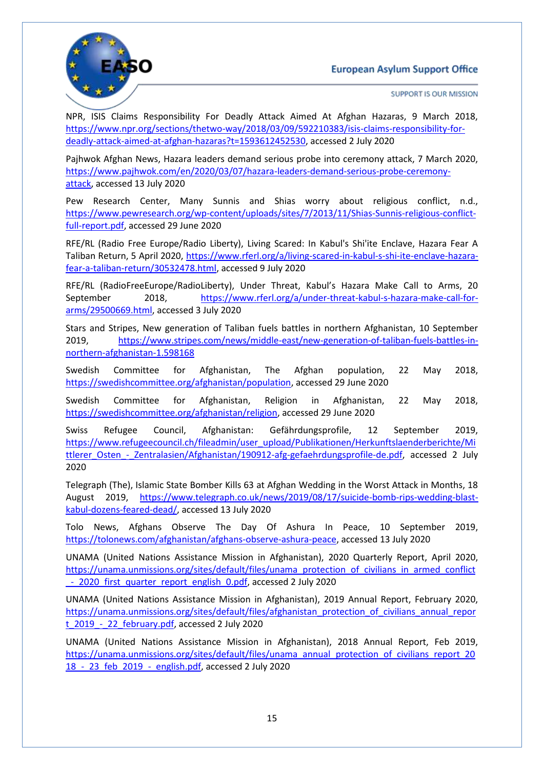

SUPPORT IS OUR MISSION

NPR, ISIS Claims Responsibility For Deadly Attack Aimed At Afghan Hazaras, 9 March 2018, [https://www.npr.org/sections/thetwo-way/2018/03/09/592210383/isis-claims-responsibility-for](https://www.npr.org/sections/thetwo-way/2018/03/09/592210383/isis-claims-responsibility-for-deadly-attack-aimed-at-afghan-hazaras?t=1593612452530)[deadly-attack-aimed-at-afghan-hazaras?t=1593612452530,](https://www.npr.org/sections/thetwo-way/2018/03/09/592210383/isis-claims-responsibility-for-deadly-attack-aimed-at-afghan-hazaras?t=1593612452530) accessed 2 July 2020

Pajhwok Afghan News, Hazara leaders demand serious probe into ceremony attack, 7 March 2020, [https://www.pajhwok.com/en/2020/03/07/hazara-leaders-demand-serious-probe-ceremony](https://www.pajhwok.com/en/2020/03/07/hazara-leaders-demand-serious-probe-ceremony-attack)[attack,](https://www.pajhwok.com/en/2020/03/07/hazara-leaders-demand-serious-probe-ceremony-attack) accessed 13 July 2020

Pew Research Center, Many Sunnis and Shias worry about religious conflict, n.d., [https://www.pewresearch.org/wp-content/uploads/sites/7/2013/11/Shias-Sunnis-religious-conflict](https://www.pewresearch.org/wp-content/uploads/sites/7/2013/11/Shias-Sunnis-religious-conflict-full-report.pdf)[full-report.pdf,](https://www.pewresearch.org/wp-content/uploads/sites/7/2013/11/Shias-Sunnis-religious-conflict-full-report.pdf) accessed 29 June 2020

RFE/RL (Radio Free Europe/Radio Liberty), Living Scared: In Kabul's Shi'ite Enclave, Hazara Fear A Taliban Return, 5 April 2020, [https://www.rferl.org/a/living-scared-in-kabul-s-shi-ite-enclave-hazara](https://www.rferl.org/a/living-scared-in-kabul-s-shi-ite-enclave-hazara-fear-a-taliban-return/30532478.html)[fear-a-taliban-return/30532478.html,](https://www.rferl.org/a/living-scared-in-kabul-s-shi-ite-enclave-hazara-fear-a-taliban-return/30532478.html) accessed 9 July 2020

RFE/RL (RadioFreeEurope/RadioLiberty), Under Threat, Kabul's Hazara Make Call to Arms, 20 September 2018, [https://www.rferl.org/a/under-threat-kabul-s-hazara-make-call-for](https://www.rferl.org/a/under-threat-kabul-s-hazara-make-call-for-arms/29500669.html)[arms/29500669.html,](https://www.rferl.org/a/under-threat-kabul-s-hazara-make-call-for-arms/29500669.html) accessed 3 July 2020

Stars and Stripes, New generation of Taliban fuels battles in northern Afghanistan, 10 September 2019, [https://www.stripes.com/news/middle-east/new-generation-of-taliban-fuels-battles-in](https://www.stripes.com/news/middle-east/new-generation-of-taliban-fuels-battles-in-northern-afghanistan-1.598168)[northern-afghanistan-1.598168](https://www.stripes.com/news/middle-east/new-generation-of-taliban-fuels-battles-in-northern-afghanistan-1.598168)

Swedish Committee for Afghanistan, The Afghan population, 22 May 2018, [https://swedishcommittee.org/afghanistan/population,](https://swedishcommittee.org/afghanistan/population) accessed 29 June 2020

Swedish Committee for Afghanistan, Religion in Afghanistan, 22 May 2018, [https://swedishcommittee.org/afghanistan/religion,](https://swedishcommittee.org/afghanistan/religion) accessed 29 June 2020

Swiss Refugee Council, Afghanistan: Gefährdungsprofile, 12 September 2019, [https://www.refugeecouncil.ch/fileadmin/user\\_upload/Publikationen/Herkunftslaenderberichte/Mi](https://www.refugeecouncil.ch/fileadmin/user_upload/Publikationen/Herkunftslaenderberichte/Mittlerer_Osten_-_Zentralasien/Afghanistan/190912-afg-gefaehrdungsprofile-de.pdf) ttlerer\_Osten - Zentralasien/Afghanistan/190912-afg-gefaehrdungsprofile-de.pdf, accessed 2 July 2020

Telegraph (The), Islamic State Bomber Kills 63 at Afghan Wedding in the Worst Attack in Months, 18 August 2019, [https://www.telegraph.co.uk/news/2019/08/17/suicide-bomb-rips-wedding-blast](https://www.telegraph.co.uk/news/2019/08/17/suicide-bomb-rips-wedding-blast-kabul-dozens-feared-dead/)[kabul-dozens-feared-dead/,](https://www.telegraph.co.uk/news/2019/08/17/suicide-bomb-rips-wedding-blast-kabul-dozens-feared-dead/) accessed 13 July 2020

Tolo News, Afghans Observe The Day Of Ashura In Peace, 10 September 2019, [https://tolonews.com/afghanistan/afghans-observe-ashura-peace,](https://tolonews.com/afghanistan/afghans-observe-ashura-peace) accessed 13 July 2020

UNAMA (United Nations Assistance Mission in Afghanistan), 2020 Quarterly Report, April 2020, [https://unama.unmissions.org/sites/default/files/unama\\_protection\\_of\\_civilians\\_in\\_armed\\_conflict](https://unama.unmissions.org/sites/default/files/unama_protection_of_civilians_in_armed_conflict_-_2020_first_quarter_report_english_0.pdf) - 2020 first quarter report english 0.pdf, accessed 2 July 2020

UNAMA (United Nations Assistance Mission in Afghanistan), 2019 Annual Report, February 2020, [https://unama.unmissions.org/sites/default/files/afghanistan\\_protection\\_of\\_civilians\\_annual\\_repor](https://unama.unmissions.org/sites/default/files/afghanistan_protection_of_civilians_annual_report_2019_-_22_february.pdf) t 2019 - 22 february.pdf, accessed 2 July 2020

UNAMA (United Nations Assistance Mission in Afghanistan), 2018 Annual Report, Feb 2019, [https://unama.unmissions.org/sites/default/files/unama\\_annual\\_protection\\_of\\_civilians\\_report\\_20](https://unama.unmissions.org/sites/default/files/unama_annual_protection_of_civilians_report_2018_-_23_feb_2019_-_english.pdf) 18 - 23 feb 2019 - english.pdf, accessed 2 July 2020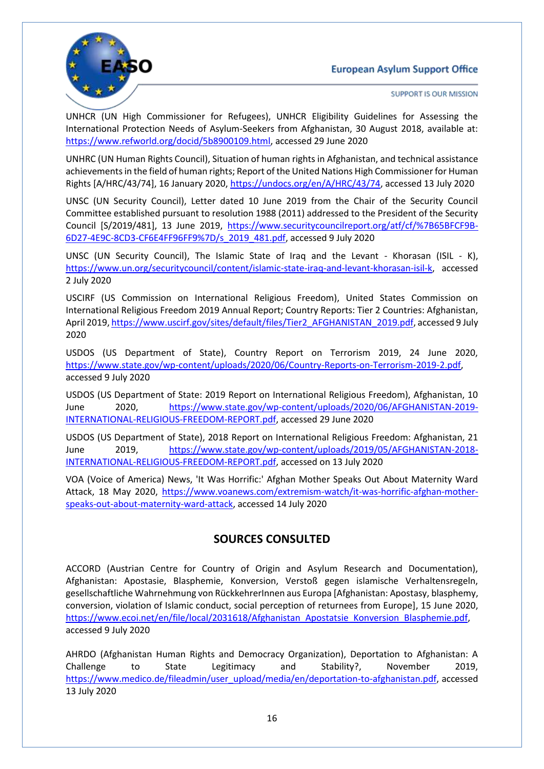

SUPPORT IS OUR MISSION

UNHCR (UN High Commissioner for Refugees), UNHCR Eligibility Guidelines for Assessing the International Protection Needs of Asylum-Seekers from Afghanistan, 30 August 2018, available at: [https://www.refworld.org/docid/5b8900109.html,](https://www.refworld.org/docid/5b8900109.html) accessed 29 June 2020

UNHRC (UN Human Rights Council), Situation of human rights in Afghanistan, and technical assistance achievements in the field of human rights; Report of the United Nations High Commissioner for Human Rights [A/HRC/43/74], 16 January 2020, [https://undocs.org/en/A/HRC/43/74,](https://undocs.org/en/A/HRC/43/74) accessed 13 July 2020

UNSC (UN Security Council), Letter dated 10 June 2019 from the Chair of the Security Council Committee established pursuant to resolution 1988 (2011) addressed to the President of the Security Council [S/2019/481], 13 June 2019, [https://www.securitycouncilreport.org/atf/cf/%7B65BFCF9B-](https://www.securitycouncilreport.org/atf/cf/%7B65BFCF9B-6D27-4E9C-8CD3-CF6E4FF96FF9%7D/s_2019_481.pdf)[6D27-4E9C-8CD3-CF6E4FF96FF9%7D/s\\_2019\\_481.pdf,](https://www.securitycouncilreport.org/atf/cf/%7B65BFCF9B-6D27-4E9C-8CD3-CF6E4FF96FF9%7D/s_2019_481.pdf) accessed 9 July 2020

UNSC (UN Security Council), The Islamic State of Iraq and the Levant - Khorasan (ISIL - K), [https://www.un.org/securitycouncil/content/islamic-state-iraq-and-levant-khorasan-isil-k,](https://www.un.org/securitycouncil/content/islamic-state-iraq-and-levant-khorasan-isil-k) accessed 2 July 2020

USCIRF (US Commission on International Religious Freedom), United States Commission on International Religious Freedom 2019 Annual Report; Country Reports: Tier 2 Countries: Afghanistan, April 2019[, https://www.uscirf.gov/sites/default/files/Tier2\\_AFGHANISTAN\\_2019.pdf,](https://www.uscirf.gov/sites/default/files/Tier2_AFGHANISTAN_2019.pdf) accessed 9 July 2020

USDOS (US Department of State), Country Report on Terrorism 2019, 24 June 2020, [https://www.state.gov/wp-content/uploads/2020/06/Country-Reports-on-Terrorism-2019-2.pdf,](https://www.state.gov/wp-content/uploads/2020/06/Country-Reports-on-Terrorism-2019-2.pdf) accessed 9 July 2020

USDOS (US Department of State: 2019 Report on International Religious Freedom), Afghanistan, 10 June 2020, [https://www.state.gov/wp-content/uploads/2020/06/AFGHANISTAN-2019-](https://www.state.gov/wp-content/uploads/2020/06/AFGHANISTAN-2019-INTERNATIONAL-RELIGIOUS-FREEDOM-REPORT.pdf) [INTERNATIONAL-RELIGIOUS-FREEDOM-REPORT.pdf,](https://www.state.gov/wp-content/uploads/2020/06/AFGHANISTAN-2019-INTERNATIONAL-RELIGIOUS-FREEDOM-REPORT.pdf) accessed 29 June 2020

USDOS (US Department of State), 2018 Report on International Religious Freedom: Afghanistan, 21 June 2019, [https://www.state.gov/wp-content/uploads/2019/05/AFGHANISTAN-2018-](https://www.state.gov/wp-content/uploads/2019/05/AFGHANISTAN-2018-INTERNATIONAL-RELIGIOUS-FREEDOM-REPORT.pdf) [INTERNATIONAL-RELIGIOUS-FREEDOM-REPORT.pdf,](https://www.state.gov/wp-content/uploads/2019/05/AFGHANISTAN-2018-INTERNATIONAL-RELIGIOUS-FREEDOM-REPORT.pdf) accessed on 13 July 2020

VOA (Voice of America) News, 'It Was Horrific:' Afghan Mother Speaks Out About Maternity Ward Attack, 18 May 2020, [https://www.voanews.com/extremism-watch/it-was-horrific-afghan-mother](https://www.voanews.com/extremism-watch/it-was-horrific-afghan-mother-speaks-out-about-maternity-ward-attack)[speaks-out-about-maternity-ward-attack,](https://www.voanews.com/extremism-watch/it-was-horrific-afghan-mother-speaks-out-about-maternity-ward-attack) accessed 14 July 2020

## **SOURCES CONSULTED**

ACCORD (Austrian Centre for Country of Origin and Asylum Research and Documentation), Afghanistan: Apostasie, Blasphemie, Konversion, Verstoß gegen islamische Verhaltensregeln, gesellschaftliche Wahrnehmung von RückkehrerInnen aus Europa [Afghanistan: Apostasy, blasphemy, conversion, violation of Islamic conduct, social perception of returnees from Europe], 15 June 2020, [https://www.ecoi.net/en/file/local/2031618/Afghanistan\\_Apostatsie\\_Konversion\\_Blasphemie.pdf,](https://www.ecoi.net/en/file/local/2031618/Afghanistan_Apostatsie_Konversion_Blasphemie.pdf) accessed 9 July 2020

AHRDO (Afghanistan Human Rights and Democracy Organization), Deportation to Afghanistan: A Challenge to State Legitimacy and Stability?, November 2019, [https://www.medico.de/fileadmin/user\\_upload/media/en/deportation-to-afghanistan.pdf,](https://www.medico.de/fileadmin/user_upload/media/en/deportation-to-afghanistan.pdf) accessed 13 July 2020